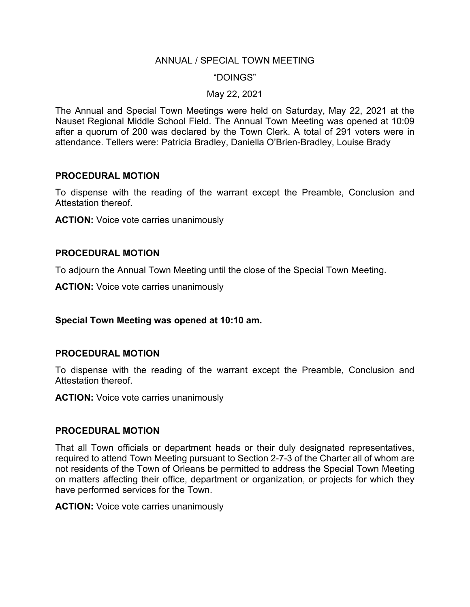#### ANNUAL / SPECIAL TOWN MEETING

#### "DOINGS"

#### May 22, 2021

The Annual and Special Town Meetings were held on Saturday, May 22, 2021 at the Nauset Regional Middle School Field. The Annual Town Meeting was opened at 10:09 after a quorum of 200 was declared by the Town Clerk. A total of 291 voters were in attendance. Tellers were: Patricia Bradley, Daniella O'Brien-Bradley, Louise Brady

#### **PROCEDURAL MOTION**

To dispense with the reading of the warrant except the Preamble, Conclusion and Attestation thereof.

**ACTION:** Voice vote carries unanimously

#### **PROCEDURAL MOTION**

To adjourn the Annual Town Meeting until the close of the Special Town Meeting.

**ACTION:** Voice vote carries unanimously

#### **Special Town Meeting was opened at 10:10 am.**

#### **PROCEDURAL MOTION**

To dispense with the reading of the warrant except the Preamble, Conclusion and Attestation thereof.

**ACTION:** Voice vote carries unanimously

#### **PROCEDURAL MOTION**

That all Town officials or department heads or their duly designated representatives, required to attend Town Meeting pursuant to Section 2-7-3 of the Charter all of whom are not residents of the Town of Orleans be permitted to address the Special Town Meeting on matters affecting their office, department or organization, or projects for which they have performed services for the Town.

**ACTION:** Voice vote carries unanimously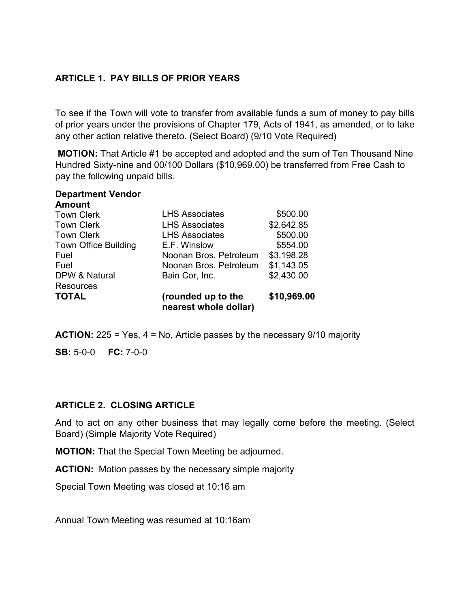## **ARTICLE 1. PAY BILLS OF PRIOR YEARS**

To see if the Town will vote to transfer from available funds a sum of money to pay bills of prior years under the provisions of Chapter 179, Acts of 1941, as amended, or to take any other action relative thereto. (Select Board) (9/10 Vote Required)

**MOTION:** That Article #1 be accepted and adopted and the sum of Ten Thousand Nine Hundred Sixty-nine and 00/100 Dollars (\$10,969.00) be transferred from Free Cash to pay the following unpaid bills.

#### **Department Vendor Amount** Town Clerk **LHS Associates** \$500.00 Town Clerk **LHS Associates** \$2,642.85 Town Clerk **LHS Associates** \$500.00 Town Office Building E.F. Winslow \$554.00 Fuel Noonan Bros. Petroleum \$3,198.28 Fuel Noonan Bros. Petroleum \$1,143.05 DPW & Natural **Resources** Bain Cor, Inc. \$2,430.00 **TOTAL (rounded up to the nearest whole dollar) \$10,969.00**

**ACTION:** 225 = Yes, 4 = No, Article passes by the necessary 9/10 majority

**SB:** 5-0-0 **FC:** 7-0-0

## **ARTICLE 2. CLOSING ARTICLE**

And to act on any other business that may legally come before the meeting. (Select Board) (Simple Majority Vote Required)

**MOTION:** That the Special Town Meeting be adjourned.

**ACTION:** Motion passes by the necessary simple majority

Special Town Meeting was closed at 10:16 am

Annual Town Meeting was resumed at 10:16am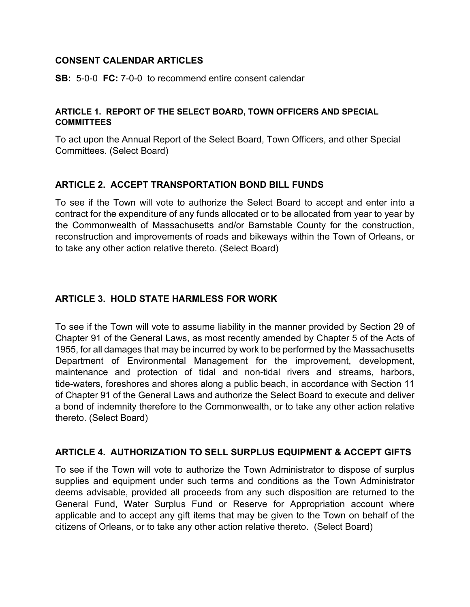### **CONSENT CALENDAR ARTICLES**

**SB:** 5-0-0 **FC:** 7-0-0 to recommend entire consent calendar

#### **ARTICLE 1. REPORT OF THE SELECT BOARD, TOWN OFFICERS AND SPECIAL COMMITTEES**

To act upon the Annual Report of the Select Board, Town Officers, and other Special Committees. (Select Board)

## **ARTICLE 2. ACCEPT TRANSPORTATION BOND BILL FUNDS**

To see if the Town will vote to authorize the Select Board to accept and enter into a contract for the expenditure of any funds allocated or to be allocated from year to year by the Commonwealth of Massachusetts and/or Barnstable County for the construction, reconstruction and improvements of roads and bikeways within the Town of Orleans, or to take any other action relative thereto. (Select Board)

## **ARTICLE 3. HOLD STATE HARMLESS FOR WORK**

To see if the Town will vote to assume liability in the manner provided by Section 29 of Chapter 91 of the General Laws, as most recently amended by Chapter 5 of the Acts of 1955, for all damages that may be incurred by work to be performed by the Massachusetts Department of Environmental Management for the improvement, development, maintenance and protection of tidal and non-tidal rivers and streams, harbors, tide-waters, foreshores and shores along a public beach, in accordance with Section 11 of Chapter 91 of the General Laws and authorize the Select Board to execute and deliver a bond of indemnity therefore to the Commonwealth, or to take any other action relative thereto. (Select Board)

## **ARTICLE 4. AUTHORIZATION TO SELL SURPLUS EQUIPMENT & ACCEPT GIFTS**

To see if the Town will vote to authorize the Town Administrator to dispose of surplus supplies and equipment under such terms and conditions as the Town Administrator deems advisable, provided all proceeds from any such disposition are returned to the General Fund, Water Surplus Fund or Reserve for Appropriation account where applicable and to accept any gift items that may be given to the Town on behalf of the citizens of Orleans, or to take any other action relative thereto. (Select Board)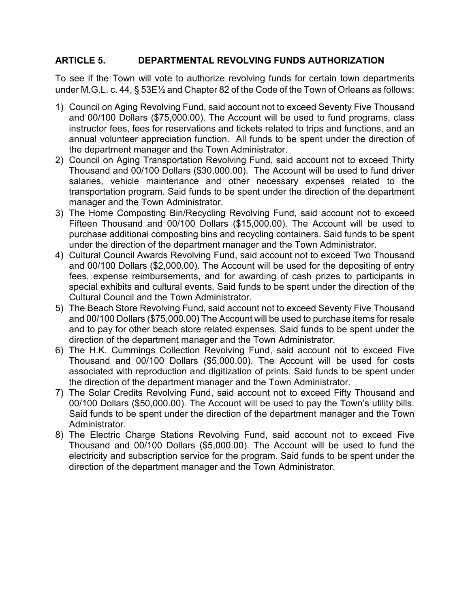### **ARTICLE 5. DEPARTMENTAL REVOLVING FUNDS AUTHORIZATION**

To see if the Town will vote to authorize revolving funds for certain town departments under M.G.L. c. 44, § 53E½ and Chapter 82 of the Code of the Town of Orleans as follows:

- 1) Council on Aging Revolving Fund, said account not to exceed Seventy Five Thousand and 00/100 Dollars (\$75,000.00). The Account will be used to fund programs, class instructor fees, fees for reservations and tickets related to trips and functions, and an annual volunteer appreciation function. All funds to be spent under the direction of the department manager and the Town Administrator.
- 2) Council on Aging Transportation Revolving Fund, said account not to exceed Thirty Thousand and 00/100 Dollars (\$30,000.00). The Account will be used to fund driver salaries, vehicle maintenance and other necessary expenses related to the transportation program. Said funds to be spent under the direction of the department manager and the Town Administrator.
- 3) The Home Composting Bin/Recycling Revolving Fund, said account not to exceed Fifteen Thousand and 00/100 Dollars (\$15,000.00). The Account will be used to purchase additional composting bins and recycling containers. Said funds to be spent under the direction of the department manager and the Town Administrator.
- 4) Cultural Council Awards Revolving Fund, said account not to exceed Two Thousand and 00/100 Dollars (\$2,000.00). The Account will be used for the depositing of entry fees, expense reimbursements, and for awarding of cash prizes to participants in special exhibits and cultural events. Said funds to be spent under the direction of the Cultural Council and the Town Administrator.
- 5) The Beach Store Revolving Fund, said account not to exceed Seventy Five Thousand and 00/100 Dollars (\$75,000.00) The Account will be used to purchase items for resale and to pay for other beach store related expenses. Said funds to be spent under the direction of the department manager and the Town Administrator.
- 6) The H.K. Cummings Collection Revolving Fund, said account not to exceed Five Thousand and 00/100 Dollars (\$5,000.00). The Account will be used for costs associated with reproduction and digitization of prints. Said funds to be spent under the direction of the department manager and the Town Administrator.
- 7) The Solar Credits Revolving Fund, said account not to exceed Fifty Thousand and 00/100 Dollars (\$50,000.00). The Account will be used to pay the Town's utility bills. Said funds to be spent under the direction of the department manager and the Town Administrator.
- 8) The Electric Charge Stations Revolving Fund, said account not to exceed Five Thousand and 00/100 Dollars (\$5,000.00). The Account will be used to fund the electricity and subscription service for the program. Said funds to be spent under the direction of the department manager and the Town Administrator.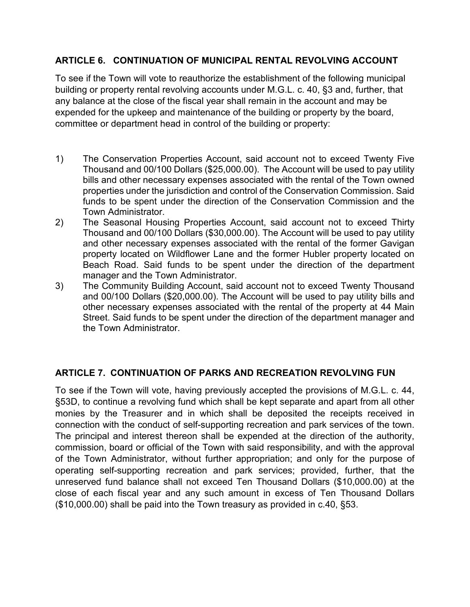## **ARTICLE 6. CONTINUATION OF MUNICIPAL RENTAL REVOLVING ACCOUNT**

To see if the Town will vote to reauthorize the establishment of the following municipal building or property rental revolving accounts under M.G.L. c. 40, §3 and, further, that any balance at the close of the fiscal year shall remain in the account and may be expended for the upkeep and maintenance of the building or property by the board, committee or department head in control of the building or property:

- 1) The Conservation Properties Account, said account not to exceed Twenty Five Thousand and 00/100 Dollars (\$25,000.00). The Account will be used to pay utility bills and other necessary expenses associated with the rental of the Town owned properties under the jurisdiction and control of the Conservation Commission. Said funds to be spent under the direction of the Conservation Commission and the Town Administrator.
- 2) The Seasonal Housing Properties Account, said account not to exceed Thirty Thousand and 00/100 Dollars (\$30,000.00). The Account will be used to pay utility and other necessary expenses associated with the rental of the former Gavigan property located on Wildflower Lane and the former Hubler property located on Beach Road. Said funds to be spent under the direction of the department manager and the Town Administrator.
- 3) The Community Building Account, said account not to exceed Twenty Thousand and 00/100 Dollars (\$20,000.00). The Account will be used to pay utility bills and other necessary expenses associated with the rental of the property at 44 Main Street. Said funds to be spent under the direction of the department manager and the Town Administrator.

# **ARTICLE 7. CONTINUATION OF PARKS AND RECREATION REVOLVING FUN**

To see if the Town will vote, having previously accepted the provisions of M.G.L. c. 44, §53D, to continue a revolving fund which shall be kept separate and apart from all other monies by the Treasurer and in which shall be deposited the receipts received in connection with the conduct of self-supporting recreation and park services of the town. The principal and interest thereon shall be expended at the direction of the authority, commission, board or official of the Town with said responsibility, and with the approval of the Town Administrator, without further appropriation; and only for the purpose of operating self-supporting recreation and park services; provided, further, that the unreserved fund balance shall not exceed Ten Thousand Dollars (\$10,000.00) at the close of each fiscal year and any such amount in excess of Ten Thousand Dollars (\$10,000.00) shall be paid into the Town treasury as provided in c.40, §53.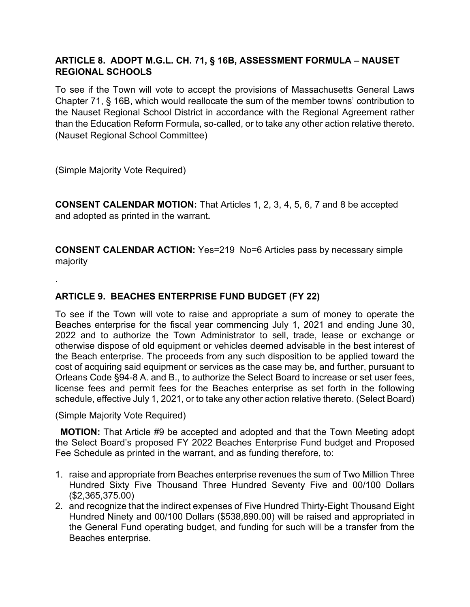## **ARTICLE 8. ADOPT M.G.L. CH. 71, § 16B, ASSESSMENT FORMULA – NAUSET REGIONAL SCHOOLS**

To see if the Town will vote to accept the provisions of Massachusetts General Laws Chapter 71, § 16B, which would reallocate the sum of the member towns' contribution to the Nauset Regional School District in accordance with the Regional Agreement rather than the Education Reform Formula, so-called, or to take any other action relative thereto. (Nauset Regional School Committee)

(Simple Majority Vote Required)

.

**CONSENT CALENDAR MOTION:** That Articles 1, 2, 3, 4, 5, 6, 7 and 8 be accepted and adopted as printed in the warrant**.**

**CONSENT CALENDAR ACTION:** Yes=219 No=6 Articles pass by necessary simple majority

# **ARTICLE 9. BEACHES ENTERPRISE FUND BUDGET (FY 22)**

To see if the Town will vote to raise and appropriate a sum of money to operate the Beaches enterprise for the fiscal year commencing July 1, 2021 and ending June 30, 2022 and to authorize the Town Administrator to sell, trade, lease or exchange or otherwise dispose of old equipment or vehicles deemed advisable in the best interest of the Beach enterprise. The proceeds from any such disposition to be applied toward the cost of acquiring said equipment or services as the case may be, and further, pursuant to Orleans Code §94-8 A. and B., to authorize the Select Board to increase or set user fees, license fees and permit fees for the Beaches enterprise as set forth in the following schedule, effective July 1, 2021, or to take any other action relative thereto. (Select Board)

(Simple Majority Vote Required)

 **MOTION:** That Article #9 be accepted and adopted and that the Town Meeting adopt the Select Board's proposed FY 2022 Beaches Enterprise Fund budget and Proposed Fee Schedule as printed in the warrant, and as funding therefore, to:

- 1. raise and appropriate from Beaches enterprise revenues the sum of Two Million Three Hundred Sixty Five Thousand Three Hundred Seventy Five and 00/100 Dollars (\$2,365,375.00)
- 2. and recognize that the indirect expenses of Five Hundred Thirty-Eight Thousand Eight Hundred Ninety and 00/100 Dollars (\$538,890.00) will be raised and appropriated in the General Fund operating budget, and funding for such will be a transfer from the Beaches enterprise.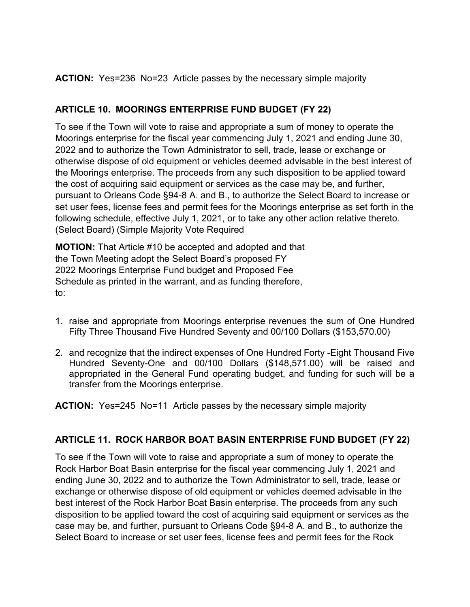**ACTION:** Yes=236 No=23 Article passes by the necessary simple majority

# **ARTICLE 10. MOORINGS ENTERPRISE FUND BUDGET (FY 22)**

To see if the Town will vote to raise and appropriate a sum of money to operate the Moorings enterprise for the fiscal year commencing July 1, 2021 and ending June 30, 2022 and to authorize the Town Administrator to sell, trade, lease or exchange or otherwise dispose of old equipment or vehicles deemed advisable in the best interest of the Moorings enterprise. The proceeds from any such disposition to be applied toward the cost of acquiring said equipment or services as the case may be, and further, pursuant to Orleans Code §94-8 A. and B., to authorize the Select Board to increase or set user fees, license fees and permit fees for the Moorings enterprise as set forth in the following schedule, effective July 1, 2021, or to take any other action relative thereto. (Select Board) (Simple Majority Vote Required

**MOTION:** That Article #10 be accepted and adopted and that the Town Meeting adopt the Select Board's proposed FY 2022 Moorings Enterprise Fund budget and Proposed Fee Schedule as printed in the warrant, and as funding therefore, to:

- 1. raise and appropriate from Moorings enterprise revenues the sum of One Hundred Fifty Three Thousand Five Hundred Seventy and 00/100 Dollars (\$153,570.00)
- 2. and recognize that the indirect expenses of One Hundred Forty -Eight Thousand Five Hundred Seventy-One and 00/100 Dollars (\$148,571.00) will be raised and appropriated in the General Fund operating budget, and funding for such will be a transfer from the Moorings enterprise.

**ACTION:** Yes=245 No=11 Article passes by the necessary simple majority

# **ARTICLE 11. ROCK HARBOR BOAT BASIN ENTERPRISE FUND BUDGET (FY 22)**

To see if the Town will vote to raise and appropriate a sum of money to operate the Rock Harbor Boat Basin enterprise for the fiscal year commencing July 1, 2021 and ending June 30, 2022 and to authorize the Town Administrator to sell, trade, lease or exchange or otherwise dispose of old equipment or vehicles deemed advisable in the best interest of the Rock Harbor Boat Basin enterprise. The proceeds from any such disposition to be applied toward the cost of acquiring said equipment or services as the case may be, and further, pursuant to Orleans Code §94-8 A. and B., to authorize the Select Board to increase or set user fees, license fees and permit fees for the Rock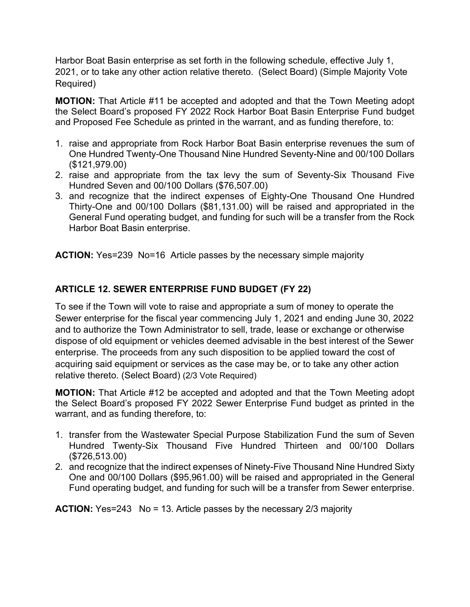Harbor Boat Basin enterprise as set forth in the following schedule, effective July 1, 2021, or to take any other action relative thereto. (Select Board) (Simple Majority Vote Required)

**MOTION:** That Article #11 be accepted and adopted and that the Town Meeting adopt the Select Board's proposed FY 2022 Rock Harbor Boat Basin Enterprise Fund budget and Proposed Fee Schedule as printed in the warrant, and as funding therefore, to:

- 1. raise and appropriate from Rock Harbor Boat Basin enterprise revenues the sum of One Hundred Twenty-One Thousand Nine Hundred Seventy-Nine and 00/100 Dollars (\$121,979.00)
- 2. raise and appropriate from the tax levy the sum of Seventy-Six Thousand Five Hundred Seven and 00/100 Dollars (\$76,507.00)
- 3. and recognize that the indirect expenses of Eighty-One Thousand One Hundred Thirty-One and 00/100 Dollars (\$81,131.00) will be raised and appropriated in the General Fund operating budget, and funding for such will be a transfer from the Rock Harbor Boat Basin enterprise.

**ACTION:** Yes=239 No=16 Article passes by the necessary simple majority

## **ARTICLE 12. SEWER ENTERPRISE FUND BUDGET (FY 22)**

To see if the Town will vote to raise and appropriate a sum of money to operate the Sewer enterprise for the fiscal year commencing July 1, 2021 and ending June 30, 2022 and to authorize the Town Administrator to sell, trade, lease or exchange or otherwise dispose of old equipment or vehicles deemed advisable in the best interest of the Sewer enterprise. The proceeds from any such disposition to be applied toward the cost of acquiring said equipment or services as the case may be, or to take any other action relative thereto. (Select Board) (2/3 Vote Required)

**MOTION:** That Article #12 be accepted and adopted and that the Town Meeting adopt the Select Board's proposed FY 2022 Sewer Enterprise Fund budget as printed in the warrant, and as funding therefore, to:

- 1. transfer from the Wastewater Special Purpose Stabilization Fund the sum of Seven Hundred Twenty-Six Thousand Five Hundred Thirteen and 00/100 Dollars (\$726,513.00)
- 2. and recognize that the indirect expenses of Ninety-Five Thousand Nine Hundred Sixty One and 00/100 Dollars (\$95,961.00) will be raised and appropriated in the General Fund operating budget, and funding for such will be a transfer from Sewer enterprise.

**ACTION:** Yes=243 No = 13. Article passes by the necessary 2/3 majority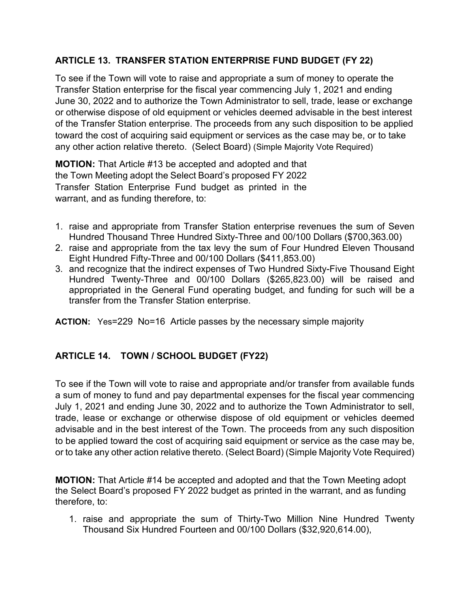## **ARTICLE 13. TRANSFER STATION ENTERPRISE FUND BUDGET (FY 22)**

To see if the Town will vote to raise and appropriate a sum of money to operate the Transfer Station enterprise for the fiscal year commencing July 1, 2021 and ending June 30, 2022 and to authorize the Town Administrator to sell, trade, lease or exchange or otherwise dispose of old equipment or vehicles deemed advisable in the best interest of the Transfer Station enterprise. The proceeds from any such disposition to be applied toward the cost of acquiring said equipment or services as the case may be, or to take any other action relative thereto. (Select Board) (Simple Majority Vote Required)

**MOTION:** That Article #13 be accepted and adopted and that the Town Meeting adopt the Select Board's proposed FY 2022 Transfer Station Enterprise Fund budget as printed in the warrant, and as funding therefore, to:

- 1. raise and appropriate from Transfer Station enterprise revenues the sum of Seven Hundred Thousand Three Hundred Sixty-Three and 00/100 Dollars (\$700,363.00)
- 2. raise and appropriate from the tax levy the sum of Four Hundred Eleven Thousand Eight Hundred Fifty-Three and 00/100 Dollars (\$411,853.00)
- 3. and recognize that the indirect expenses of Two Hundred Sixty-Five Thousand Eight Hundred Twenty-Three and 00/100 Dollars (\$265,823.00) will be raised and appropriated in the General Fund operating budget, and funding for such will be a transfer from the Transfer Station enterprise.

**ACTION:** Yes=229 No=16 Article passes by the necessary simple majority

# **ARTICLE 14. TOWN / SCHOOL BUDGET (FY22)**

To see if the Town will vote to raise and appropriate and/or transfer from available funds a sum of money to fund and pay departmental expenses for the fiscal year commencing July 1, 2021 and ending June 30, 2022 and to authorize the Town Administrator to sell, trade, lease or exchange or otherwise dispose of old equipment or vehicles deemed advisable and in the best interest of the Town. The proceeds from any such disposition to be applied toward the cost of acquiring said equipment or service as the case may be, or to take any other action relative thereto. (Select Board) (Simple Majority Vote Required)

**MOTION:** That Article #14 be accepted and adopted and that the Town Meeting adopt the Select Board's proposed FY 2022 budget as printed in the warrant, and as funding therefore, to:

1. raise and appropriate the sum of Thirty-Two Million Nine Hundred Twenty Thousand Six Hundred Fourteen and 00/100 Dollars (\$32,920,614.00),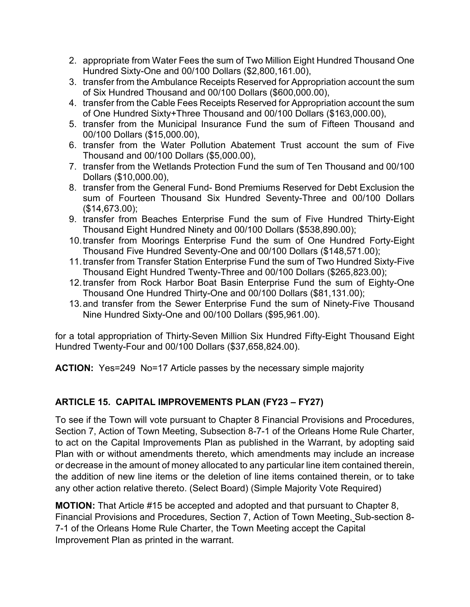- 2. appropriate from Water Fees the sum of Two Million Eight Hundred Thousand One Hundred Sixty-One and 00/100 Dollars (\$2,800,161.00),
- 3. transfer from the Ambulance Receipts Reserved for Appropriation account the sum of Six Hundred Thousand and 00/100 Dollars (\$600,000.00),
- 4. transfer from the Cable Fees Receipts Reserved for Appropriation account the sum of One Hundred Sixty+Three Thousand and 00/100 Dollars (\$163,000.00),
- 5. transfer from the Municipal Insurance Fund the sum of Fifteen Thousand and 00/100 Dollars (\$15,000.00),
- 6. transfer from the Water Pollution Abatement Trust account the sum of Five Thousand and 00/100 Dollars (\$5,000.00),
- 7. transfer from the Wetlands Protection Fund the sum of Ten Thousand and 00/100 Dollars (\$10,000.00),
- 8. transfer from the General Fund- Bond Premiums Reserved for Debt Exclusion the sum of Fourteen Thousand Six Hundred Seventy-Three and 00/100 Dollars (\$14,673.00);
- 9. transfer from Beaches Enterprise Fund the sum of Five Hundred Thirty-Eight Thousand Eight Hundred Ninety and 00/100 Dollars (\$538,890.00);
- 10.transfer from Moorings Enterprise Fund the sum of One Hundred Forty-Eight Thousand Five Hundred Seventy-One and 00/100 Dollars (\$148,571.00);
- 11.transfer from Transfer Station Enterprise Fund the sum of Two Hundred Sixty-Five Thousand Eight Hundred Twenty-Three and 00/100 Dollars (\$265,823.00);
- 12.transfer from Rock Harbor Boat Basin Enterprise Fund the sum of Eighty-One Thousand One Hundred Thirty-One and 00/100 Dollars (\$81,131.00);
- 13.and transfer from the Sewer Enterprise Fund the sum of Ninety-Five Thousand Nine Hundred Sixty-One and 00/100 Dollars (\$95,961.00).

for a total appropriation of Thirty-Seven Million Six Hundred Fifty-Eight Thousand Eight Hundred Twenty-Four and 00/100 Dollars (\$37,658,824.00).

**ACTION:** Yes=249 No=17 Article passes by the necessary simple majority

# **ARTICLE 15. CAPITAL IMPROVEMENTS PLAN (FY23 – FY27)**

To see if the Town will vote pursuant to Chapter 8 Financial Provisions and Procedures, Section 7, Action of Town Meeting, Subsection 8-7-1 of the Orleans Home Rule Charter, to act on the Capital Improvements Plan as published in the Warrant, by adopting said Plan with or without amendments thereto, which amendments may include an increase or decrease in the amount of money allocated to any particular line item contained therein, the addition of new line items or the deletion of line items contained therein, or to take any other action relative thereto. (Select Board) (Simple Majority Vote Required)

**MOTION:** That Article #15 be accepted and adopted and that pursuant to Chapter 8, Financial Provisions and Procedures, Section 7, Action of Town Meeting, Sub-section 8- 7-1 of the Orleans Home Rule Charter, the Town Meeting accept the Capital Improvement Plan as printed in the warrant.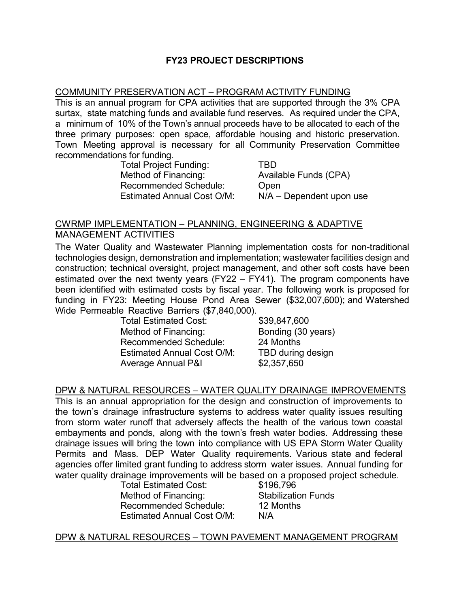### **FY23 PROJECT DESCRIPTIONS**

#### COMMUNITY PRESERVATION ACT – PROGRAM ACTIVITY FUNDING

This is an annual program for CPA activities that are supported through the 3% CPA surtax, state matching funds and available fund reserves. As required under the CPA, a minimum of 10% of the Town's annual proceeds have to be allocated to each of the three primary purposes: open space, affordable housing and historic preservation. Town Meeting approval is necessary for all Community Preservation Committee recommendations for funding.

Total Project Funding: TBD Recommended Schedule: Open Estimated Annual Cost O/M: N/A – Dependent upon use

Available Funds (CPA)

#### CWRMP IMPLEMENTATION – PLANNING, ENGINEERING & ADAPTIVE MANAGEMENT ACTIVITIES

The Water Quality and Wastewater Planning implementation costs for non-traditional technologies design, demonstration and implementation; wastewater facilities design and construction; technical oversight, project management, and other soft costs have been estimated over the next twenty years (FY22 – FY41). The program components have been identified with estimated costs by fiscal year. The following work is proposed for funding in FY23: Meeting House Pond Area Sewer (\$32,007,600); and Watershed Wide Permeable Reactive Barriers (\$7,840,000).

Total Estimated Cost: \$39,847,600 Method of Financing: Bonding (30 years) Recommended Schedule: 24 Months Estimated Annual Cost O/M: TBD during design Average Annual P&I \$2,357,650

#### DPW & NATURAL RESOURCES – WATER QUALITY DRAINAGE IMPROVEMENTS

This is an annual appropriation for the design and construction of improvements to the town's drainage infrastructure systems to address water quality issues resulting from storm water runoff that adversely affects the health of the various town coastal embayments and ponds, along with the town's fresh water bodies. Addressing these drainage issues will bring the town into compliance with US EPA Storm Water Quality Permits and Mass. DEP Water Quality requirements. Various state and federal agencies offer limited grant funding to address storm water issues. Annual funding for water quality drainage improvements will be based on a proposed project schedule.<br>Total Estimated Cost: \$196.796

Total Estimated Cost: Method of Financing: Stabilization Funds<br>Recommended Schedule: 12 Months Recommended Schedule: Estimated Annual Cost O/M: N/A

#### DPW & NATURAL RESOURCES – TOWN PAVEMENT MANAGEMENT PROGRAM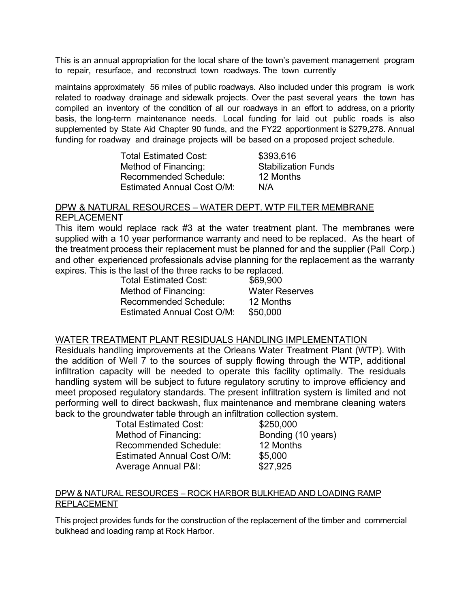This is an annual appropriation for the local share of the town's pavement management program to repair, resurface, and reconstruct town roadways. The town currently

maintains approximately 56 miles of public roadways. Also included under this program is work related to roadway drainage and sidewalk projects. Over the past several years the town has compiled an inventory of the condition of all our roadways in an effort to address, on a priority basis, the long-term maintenance needs. Local funding for laid out public roads is also supplemented by State Aid Chapter 90 funds, and the FY22 apportionment is \$279,278. Annual funding for roadway and drainage projects will be based on a proposed project schedule.

| <b>Total Estimated Cost:</b>      | \$393,616                  |
|-----------------------------------|----------------------------|
| Method of Financing:              | <b>Stabilization Funds</b> |
| <b>Recommended Schedule:</b>      | 12 Months                  |
| <b>Estimated Annual Cost O/M:</b> | N/A                        |

#### DPW & NATURAL RESOURCES – WATER DEPT. WTP FILTER MEMBRANE REPLACEMENT

This item would replace rack #3 at the water treatment plant. The membranes were supplied with a 10 year performance warranty and need to be replaced. As the heart of the treatment process their replacement must be planned for and the supplier (Pall Corp.) and other experienced professionals advise planning for the replacement as the warranty expires. This is the last of the three racks to be replaced.

| <b>Total Estimated Cost:</b>      | \$69,900              |
|-----------------------------------|-----------------------|
| Method of Financing:              | <b>Water Reserves</b> |
| Recommended Schedule:             | 12 Months             |
| <b>Estimated Annual Cost O/M:</b> | \$50,000              |

#### WATER TREATMENT PLANT RESIDUALS HANDLING IMPLEMENTATION

Residuals handling improvements at the Orleans Water Treatment Plant (WTP). With the addition of Well 7 to the sources of supply flowing through the WTP, additional infiltration capacity will be needed to operate this facility optimally. The residuals handling system will be subject to future regulatory scrutiny to improve efficiency and meet proposed regulatory standards. The present infiltration system is limited and not performing well to direct backwash, flux maintenance and membrane cleaning waters back to the groundwater table through an infiltration collection system.

| <b>Total Estimated Cost:</b>      | \$250,000          |
|-----------------------------------|--------------------|
| Method of Financing:              | Bonding (10 years) |
| <b>Recommended Schedule:</b>      | 12 Months          |
| <b>Estimated Annual Cost O/M:</b> | \$5,000            |
| <b>Average Annual P&amp;I:</b>    | \$27,925           |

#### DPW & NATURAL RESOURCES – ROCK HARBOR BULKHEAD AND LOADING RAMP REPLACEMENT

This project provides funds for the construction of the replacement of the timber and commercial bulkhead and loading ramp at Rock Harbor.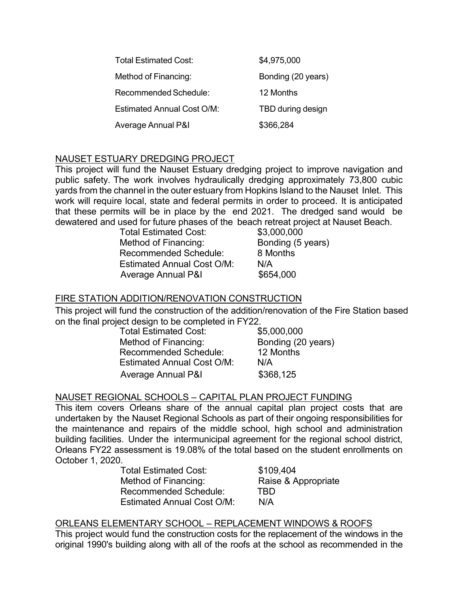| Total Estimated Cost:             | \$4,975,000        |
|-----------------------------------|--------------------|
| Method of Financing:              | Bonding (20 years) |
| Recommended Schedule:             | 12 Months          |
| <b>Estimated Annual Cost O/M:</b> | TBD during design  |
| Average Annual P&I                | \$366,284          |

### NAUSET ESTUARY DREDGING PROJECT

This project will fund the Nauset Estuary dredging project to improve navigation and public safety. The work involves hydraulically dredging approximately 73,800 cubic yards from the channel in the outer estuary from Hopkins Island to the Nauset Inlet. This work will require local, state and federal permits in order to proceed. It is anticipated that these permits will be in place by the end 2021. The dredged sand would be dewatered and used for future phases of the beach retreat project at Nauset Beach.

| <b>Total Estimated Cost:</b>      | \$3,000,000       |
|-----------------------------------|-------------------|
| Method of Financing:              | Bonding (5 years) |
| <b>Recommended Schedule:</b>      | 8 Months          |
| <b>Estimated Annual Cost O/M:</b> | N/A               |
| <b>Average Annual P&amp;I</b>     | \$654,000         |

### FIRE STATION ADDITION/RENOVATION CONSTRUCTION

This project will fund the construction of the addition/renovation of the Fire Station based on the final project design to be completed in FY22.

| <b>Total Estimated Cost:</b>      | \$5,000,000        |
|-----------------------------------|--------------------|
| Method of Financing:              | Bonding (20 years) |
| <b>Recommended Schedule:</b>      | 12 Months          |
| <b>Estimated Annual Cost O/M:</b> | N/A                |
| Average Annual P&I                | \$368,125          |

#### NAUSET REGIONAL SCHOOLS – CAPITAL PLAN PROJECT FUNDING

This item covers Orleans share of the annual capital plan project costs that are undertaken by the Nauset Regional Schools as part of their ongoing responsibilities for the maintenance and repairs of the middle school, high school and administration building facilities. Under the intermunicipal agreement for the regional school district, Orleans FY22 assessment is 19.08% of the total based on the student enrollments on October 1, 2020.

| <b>Total Estimated Cost:</b> | \$109,404           |
|------------------------------|---------------------|
| Method of Financing:         | Raise & Appropriate |
| Recommended Schedule:        | TBD                 |
| Estimated Annual Cost O/M:   | N/A                 |

#### ORLEANS ELEMENTARY SCHOOL – REPLACEMENT WINDOWS & ROOFS

This project would fund the construction costs for the replacement of the windows in the original 1990's building along with all of the roofs at the school as recommended in the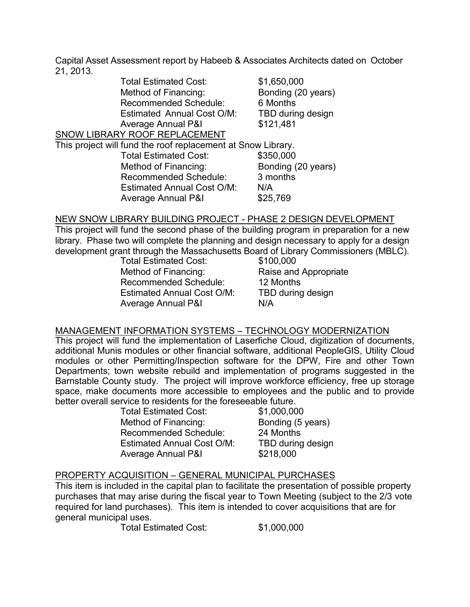Capital Asset Assessment report by Habeeb & Associates Architects dated on October 21, 2013.

| <b>Total Estimated Cost:</b>                                 | \$1,650,000        |
|--------------------------------------------------------------|--------------------|
| Method of Financing:                                         | Bonding (20 years) |
| <b>Recommended Schedule:</b>                                 | 6 Months           |
| <b>Estimated Annual Cost O/M:</b>                            | TBD during design  |
| <b>Average Annual P&amp;I</b>                                | \$121,481          |
| SNOW LIBRARY ROOF REPLACEMENT                                |                    |
| This project will fund the roof replacement at Snow Library. |                    |
| <b>Total Estimated Cost:</b>                                 | \$350,000          |
| Method of Financing:                                         | Bonding (20 years) |
| <b>Recommended Schedule:</b>                                 | 3 months           |
| <b>Estimated Annual Cost O/M:</b>                            | N/A                |
| Average Annual P&I                                           | \$25,769           |
|                                                              |                    |

#### NEW SNOW LIBRARY BUILDING PROJECT - PHASE 2 DESIGN DEVELOPMENT

This project will fund the second phase of the building program in preparation for a new library. Phase two will complete the planning and design necessary to apply for a design development grant through the Massachusetts Board of Library Commissioners (MBLC).

Total Estimated Cost: Method of Financing: Raise and Appropriate Recommended Schedule: 12 Months Estimated Annual Cost O/M: TBD during design Average Annual P&I N/A

#### MANAGEMENT INFORMATION SYSTEMS – TECHNOLOGY MODERNIZATION

This project will fund the implementation of Laserfiche Cloud, digitization of documents, additional Munis modules or other financial software, additional PeopleGIS, Utility Cloud modules or other Permitting/Inspection software for the DPW, Fire and other Town Departments; town website rebuild and implementation of programs suggested in the Barnstable County study. The project will improve workforce efficiency, free up storage space, make documents more accessible to employees and the public and to provide better overall service to residents for the foreseeable future.

Total Estimated Cost: \$1,000,000 Method of Financing: Bonding (5 years) Recommended Schedule: 24 Months Estimated Annual Cost O/M: TBD during design Average Annual P&I \$218,000

#### PROPERTY ACQUISITION – GENERAL MUNICIPAL PURCHASES

This item is included in the capital plan to facilitate the presentation of possible property purchases that may arise during the fiscal year to Town Meeting (subject to the 2/3 vote required for land purchases). This item is intended to cover acquisitions that are for general municipal uses.

Total Estimated Cost: \$1,000,000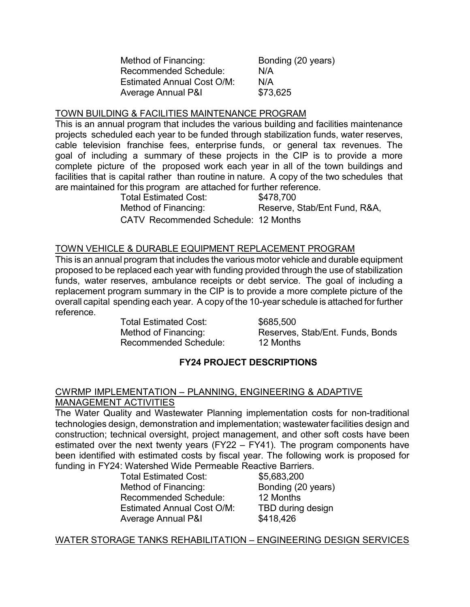| Method of Financing:              | Bonding (20 years) |
|-----------------------------------|--------------------|
| Recommended Schedule:             | N/A                |
| <b>Estimated Annual Cost O/M:</b> | N/A                |
| Average Annual P&I                | \$73,625           |

### TOWN BUILDING & FACILITIES MAINTENANCE PROGRAM

This is an annual program that includes the various building and facilities maintenance projects scheduled each year to be funded through stabilization funds, water reserves, cable television franchise fees, enterprise funds, or general tax revenues. The goal of including a summary of these projects in the CIP is to provide a more complete picture of the proposed work each year in all of the town buildings and facilities that is capital rather than routine in nature. A copy of the two schedules that are maintained for this program are attached for further reference.

Total Estimated Cost: \$478,700

Method of Financing: Reserve, Stab/Ent Fund, R&A,

CATV Recommended Schedule: 12 Months

#### TOWN VEHICLE & DURABLE EQUIPMENT REPLACEMENT PROGRAM

This is an annual program that includes the various motor vehicle and durable equipment proposed to be replaced each year with funding provided through the use of stabilization funds, water reserves, ambulance receipts or debt service. The goal of including a replacement program summary in the CIP is to provide a more complete picture of the overall capital spending each year. A copy of the 10-year schedule is attached for further reference.

> Total Estimated Cost: \$685,500 Recommended Schedule: 12 Months

Method of Financing: Reserves, Stab/Ent. Funds, Bonds

## **FY24 PROJECT DESCRIPTIONS**

#### CWRMP IMPLEMENTATION – PLANNING, ENGINEERING & ADAPTIVE MANAGEMENT ACTIVITIES

The Water Quality and Wastewater Planning implementation costs for non-traditional technologies design, demonstration and implementation; wastewater facilities design and construction; technical oversight, project management, and other soft costs have been estimated over the next twenty years (FY22 – FY41). The program components have been identified with estimated costs by fiscal year. The following work is proposed for funding in FY24: Watershed Wide Permeable Reactive Barriers.

Total Estimated Cost: \$5,683,200 Method of Financing: Bonding (20 years) Recommended Schedule: 12 Months Estimated Annual Cost O/M: TBD during design Average Annual P&I \$418,426

#### WATER STORAGE TANKS REHABILITATION – ENGINEERING DESIGN SERVICES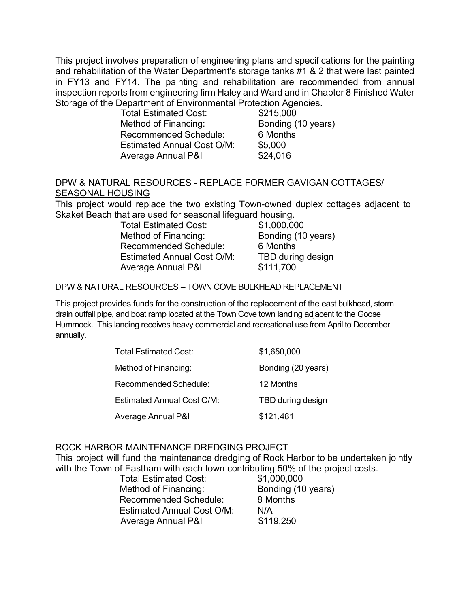This project involves preparation of engineering plans and specifications for the painting and rehabilitation of the Water Department's storage tanks #1 & 2 that were last painted in FY13 and FY14. The painting and rehabilitation are recommended from annual inspection reports from engineering firm Haley and Ward and in Chapter 8 Finished Water Storage of the Department of Environmental Protection Agencies.

| <b>Total Estimated Cost:</b>      | \$215,000          |
|-----------------------------------|--------------------|
| Method of Financing:              | Bonding (10 years) |
| Recommended Schedule:             | 6 Months           |
| <b>Estimated Annual Cost O/M:</b> | \$5,000            |
| Average Annual P&I                | \$24,016           |

### DPW & NATURAL RESOURCES - REPLACE FORMER GAVIGAN COTTAGES/ SEASONAL HOUSING

This project would replace the two existing Town-owned duplex cottages adjacent to Skaket Beach that are used for seasonal lifeguard housing.

> Total Estimated Cost: \$1,000,000 Method of Financing: Bonding (10 years) Recommended Schedule: 6 Months Estimated Annual Cost O/M: TBD during design Average Annual P&I \$111,700

#### DPW & NATURAL RESOURCES – TOWN COVE BULKHEAD REPLACEMENT

This project provides funds for the construction of the replacement of the east bulkhead, storm drain outfall pipe, and boat ramp located at the Town Cove town landing adjacent to the Goose Hummock. This landing receives heavy commercial and recreational use from April to December annually.

| <b>Total Estimated Cost:</b>  | \$1,650,000        |
|-------------------------------|--------------------|
| Method of Financing:          | Bonding (20 years) |
| Recommended Schedule:         | 12 Months          |
| Estimated Annual Cost O/M:    | TBD during design  |
| <b>Average Annual P&amp;I</b> | \$121,481          |

#### ROCK HARBOR MAINTENANCE DREDGING PROJECT

This project will fund the maintenance dredging of Rock Harbor to be undertaken jointly with the Town of Eastham with each town contributing 50% of the project costs.

| <b>Total Estimated Cost:</b>      | \$1,000,000        |
|-----------------------------------|--------------------|
| Method of Financing:              | Bonding (10 years) |
| <b>Recommended Schedule:</b>      | 8 Months           |
| <b>Estimated Annual Cost O/M:</b> | N/A                |
| <b>Average Annual P&amp;I</b>     | \$119,250          |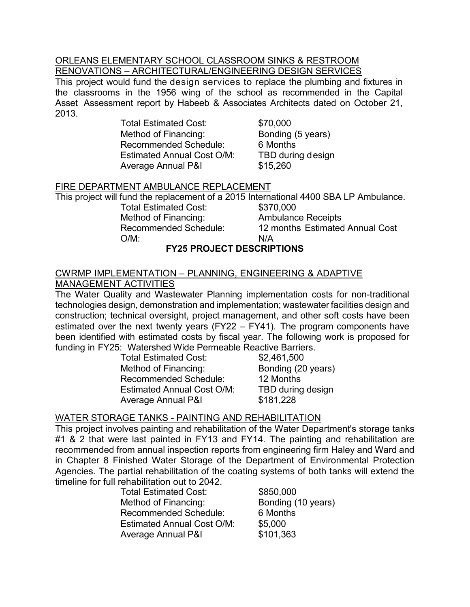#### ORLEANS ELEMENTARY SCHOOL CLASSROOM SINKS & RESTROOM RENOVATIONS – ARCHITECTURAL/ENGINEERING DESIGN SERVICES

This project would fund the design services to replace the plumbing and fixtures in the classrooms in the 1956 wing of the school as recommended in the Capital Asset Assessment report by Habeeb & Associates Architects dated on October 21, 2013.

> Total Estimated Cost: \$70,000 Method of Financing: Bonding (5 years) Recommended Schedule: 6 Months Estimated Annual Cost O/M: TBD during design Average Annual P&I \$15,260

# FIRE DEPARTMENT AMBULANCE REPLACEMENT

This project will fund the replacement of a 2015 International 4400 SBA LP Ambulance.<br>Total Estimated Cost: \$370.000

Total Estimated Cost:<br>Method of Financing: Method of Financing: The Mullance Receipts<br>
Recommended Schedule: 12 months Estimated O/M: N/A

12 months Estimated Annual Cost

# **FY25 PROJECT DESCRIPTIONS**

### CWRMP IMPLEMENTATION – PLANNING, ENGINEERING & ADAPTIVE MANAGEMENT ACTIVITIES

The Water Quality and Wastewater Planning implementation costs for non-traditional technologies design, demonstration and implementation; wastewater facilities design and construction; technical oversight, project management, and other soft costs have been estimated over the next twenty years (FY22 – FY41). The program components have been identified with estimated costs by fiscal year. The following work is proposed for funding in FY25: Watershed Wide Permeable Reactive Barriers.

Total Estimated Cost: \$2,461,500 Method of Financing: Bonding (20 years) Recommended Schedule: 12 Months Estimated Annual Cost O/M: TBD during design Average Annual P&I \$181,228

# WATER STORAGE TANKS - PAINTING AND REHABILITATION

This project involves painting and rehabilitation of the Water Department's storage tanks #1 & 2 that were last painted in FY13 and FY14. The painting and rehabilitation are recommended from annual inspection reports from engineering firm Haley and Ward and in Chapter 8 Finished Water Storage of the Department of Environmental Protection Agencies. The partial rehabilitation of the coating systems of both tanks will extend the timeline for full rehabilitation out to 2042.

| <b>Total Estimated Cost:</b>      | \$850,000          |
|-----------------------------------|--------------------|
| Method of Financing:              | Bonding (10 years) |
| <b>Recommended Schedule:</b>      | 6 Months           |
| <b>Estimated Annual Cost O/M:</b> | \$5,000            |
| <b>Average Annual P&amp;I</b>     | \$101,363          |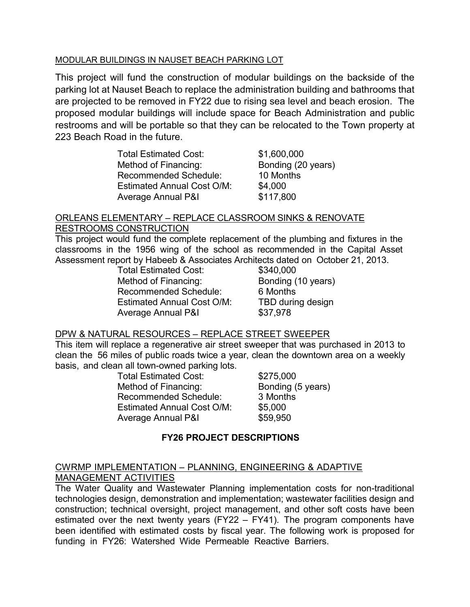#### MODULAR BUILDINGS IN NAUSET BEACH PARKING LOT

This project will fund the construction of modular buildings on the backside of the parking lot at Nauset Beach to replace the administration building and bathrooms that are projected to be removed in FY22 due to rising sea level and beach erosion. The proposed modular buildings will include space for Beach Administration and public restrooms and will be portable so that they can be relocated to the Town property at 223 Beach Road in the future.

| <b>Total Estimated Cost:</b>      | \$1,600,000        |
|-----------------------------------|--------------------|
| Method of Financing:              | Bonding (20 years) |
| <b>Recommended Schedule:</b>      | 10 Months          |
| <b>Estimated Annual Cost O/M:</b> | \$4,000            |
| <b>Average Annual P&amp;I</b>     | \$117,800          |

#### ORLEANS ELEMENTARY – REPLACE CLASSROOM SINKS & RENOVATE RESTROOMS CONSTRUCTION

This project would fund the complete replacement of the plumbing and fixtures in the classrooms in the 1956 wing of the school as recommended in the Capital Asset Assessment report by Habeeb & Associates Architects dated on October 21, 2013.

Total Estimated Cost: Method of Financing: Bonding (10 years) Recommended Schedule: 6 Months Estimated Annual Cost O/M: TBD during design Average Annual P&I \$37,978

#### DPW & NATURAL RESOURCES – REPLACE STREET SWEEPER

This item will replace a regenerative air street sweeper that was purchased in 2013 to clean the 56 miles of public roads twice a year, clean the downtown area on a weekly basis, and clean all town-owned parking lots.

| <b>Total Estimated Cost:</b>      | \$275,000         |
|-----------------------------------|-------------------|
| Method of Financing:              | Bonding (5 years) |
| <b>Recommended Schedule:</b>      | 3 Months          |
| <b>Estimated Annual Cost O/M:</b> | \$5,000           |
| Average Annual P&I                | \$59,950          |

## **FY26 PROJECT DESCRIPTIONS**

### CWRMP IMPLEMENTATION – PLANNING, ENGINEERING & ADAPTIVE MANAGEMENT ACTIVITIES

The Water Quality and Wastewater Planning implementation costs for non-traditional technologies design, demonstration and implementation; wastewater facilities design and construction; technical oversight, project management, and other soft costs have been estimated over the next twenty years (FY22 – FY41). The program components have been identified with estimated costs by fiscal year. The following work is proposed for funding in FY26: Watershed Wide Permeable Reactive Barriers.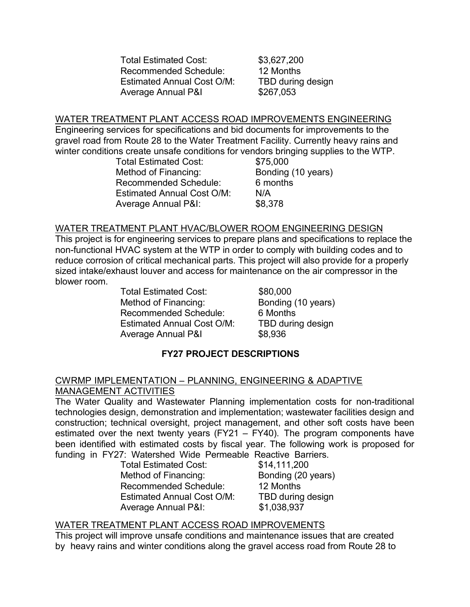Total Estimated Cost: \$3,627,200 Recommended Schedule: 12 Months Estimated Annual Cost O/M: TBD during design Average Annual P&I \$267,053

#### WATER TREATMENT PLANT ACCESS ROAD IMPROVEMENTS ENGINEERING

Engineering services for specifications and bid documents for improvements to the gravel road from Route 28 to the Water Treatment Facility. Currently heavy rains and winter conditions create unsafe conditions for vendors bringing supplies to the WTP.

| <b>Total Estimated Cost:</b>      | \$75,000           |
|-----------------------------------|--------------------|
| Method of Financing:              | Bonding (10 years) |
| <b>Recommended Schedule:</b>      | 6 months           |
| <b>Estimated Annual Cost O/M:</b> | N/A                |
| <b>Average Annual P&amp;I:</b>    | \$8,378            |

#### WATER TREATMENT PLANT HVAC/BLOWER ROOM ENGINEERING DESIGN

This project is for engineering services to prepare plans and specifications to replace the non-functional HVAC system at the WTP in order to comply with building codes and to reduce corrosion of critical mechanical parts. This project will also provide for a properly sized intake/exhaust louver and access for maintenance on the air compressor in the blower room.

> Total Estimated Cost: \$80,000 Method of Financing: Bonding (10 years) Recommended Schedule: 6 Months Estimated Annual Cost O/M: TBD during design Average Annual P&I \$8,936

## **FY27 PROJECT DESCRIPTIONS**

#### CWRMP IMPLEMENTATION – PLANNING, ENGINEERING & ADAPTIVE MANAGEMENT ACTIVITIES

The Water Quality and Wastewater Planning implementation costs for non-traditional technologies design, demonstration and implementation; wastewater facilities design and construction; technical oversight, project management, and other soft costs have been estimated over the next twenty years (FY21 – FY40). The program components have been identified with estimated costs by fiscal year. The following work is proposed for funding in FY27: Watershed Wide Permeable Reactive Barriers.

Total Estimated Cost: Method of Financing: Bonding (20 years) Recommended Schedule: 12 Months Estimated Annual Cost O/M: TBD during design Average Annual P&I: \$1,038,937

#### WATER TREATMENT PLANT ACCESS ROAD IMPROVEMENTS

This project will improve unsafe conditions and maintenance issues that are created by heavy rains and winter conditions along the gravel access road from Route 28 to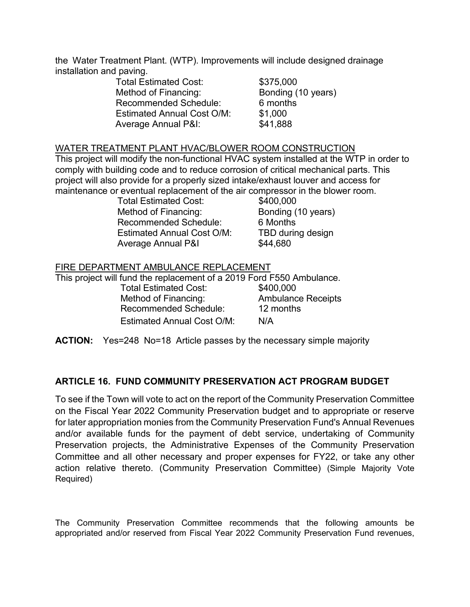the Water Treatment Plant. (WTP). Improvements will include designed drainage installation and paving.

| <b>Total Estimated Cost:</b>      | \$375,000          |
|-----------------------------------|--------------------|
| Method of Financing:              | Bonding (10 years) |
| <b>Recommended Schedule:</b>      | 6 months           |
| <b>Estimated Annual Cost O/M:</b> | \$1,000            |
| <b>Average Annual P&amp;I:</b>    | \$41,888           |

#### WATER TREATMENT PLANT HVAC/BLOWER ROOM CONSTRUCTION

This project will modify the non-functional HVAC system installed at the WTP in order to comply with building code and to reduce corrosion of critical mechanical parts. This project will also provide for a properly sized intake/exhaust louver and access for maintenance or eventual replacement of the air compressor in the blower room.

> Total Estimated Cost: \$400,000 Method of Financing: Bonding (10 years) Recommended Schedule: 6 Months Estimated Annual Cost O/M: TBD during design Average Annual P&I \$44,680

#### FIRE DEPARTMENT AMBULANCE REPLACEMENT

This project will fund the replacement of a 2019 Ford F550 Ambulance. Total Estimated Cost: \$400,000 Method of Financing: Ambulance Receipts Recommended Schedule: 12 months Estimated Annual Cost O/M: N/A

**ACTION:** Yes=248 No=18 Article passes by the necessary simple majority

#### **ARTICLE 16. FUND COMMUNITY PRESERVATION ACT PROGRAM BUDGET**

To see if the Town will vote to act on the report of the Community Preservation Committee on the Fiscal Year 2022 Community Preservation budget and to appropriate or reserve for later appropriation monies from the Community Preservation Fund's Annual Revenues and/or available funds for the payment of debt service, undertaking of Community Preservation projects, the Administrative Expenses of the Community Preservation Committee and all other necessary and proper expenses for FY22, or take any other action relative thereto. (Community Preservation Committee) (Simple Majority Vote Required)

The Community Preservation Committee recommends that the following amounts be appropriated and/or reserved from Fiscal Year 2022 Community Preservation Fund revenues,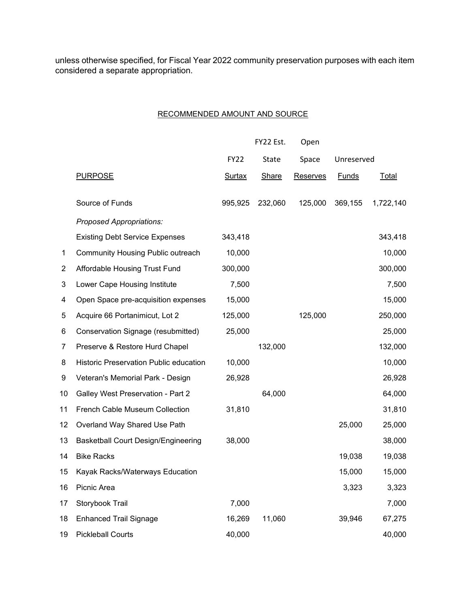unless otherwise specified, for Fiscal Year 2022 community preservation purposes with each item considered a separate appropriation.

#### RECOMMENDED AMOUNT AND SOURCE

|              |                                            |               | FY22 Est.    | Open            |              |           |
|--------------|--------------------------------------------|---------------|--------------|-----------------|--------------|-----------|
|              |                                            | <b>FY22</b>   | <b>State</b> | Space           | Unreserved   |           |
|              | <b>PURPOSE</b>                             | <b>Surtax</b> | <b>Share</b> | <b>Reserves</b> | <b>Funds</b> | Total     |
|              | Source of Funds                            | 995,925       | 232,060      | 125,000         | 369,155      | 1,722,140 |
|              | Proposed Appropriations:                   |               |              |                 |              |           |
|              | <b>Existing Debt Service Expenses</b>      | 343,418       |              |                 |              | 343,418   |
| $\mathbf{1}$ | <b>Community Housing Public outreach</b>   | 10,000        |              |                 |              | 10,000    |
| 2            | Affordable Housing Trust Fund              | 300,000       |              |                 |              | 300,000   |
| 3            | Lower Cape Housing Institute               | 7,500         |              |                 |              | 7,500     |
| 4            | Open Space pre-acquisition expenses        | 15,000        |              |                 |              | 15,000    |
| 5            | Acquire 66 Portanimicut, Lot 2             | 125,000       |              | 125,000         |              | 250,000   |
| 6            | Conservation Signage (resubmitted)         | 25,000        |              |                 |              | 25,000    |
| 7            | Preserve & Restore Hurd Chapel             |               | 132,000      |                 |              | 132,000   |
| 8            | Historic Preservation Public education     | 10,000        |              |                 |              | 10,000    |
| 9            | Veteran's Memorial Park - Design           | 26,928        |              |                 |              | 26,928    |
| 10           | Galley West Preservation - Part 2          |               | 64,000       |                 |              | 64,000    |
| 11           | French Cable Museum Collection             | 31,810        |              |                 |              | 31,810    |
| 12           | Overland Way Shared Use Path               |               |              |                 | 25,000       | 25,000    |
| 13           | <b>Basketball Court Design/Engineering</b> | 38,000        |              |                 |              | 38,000    |
| 14           | <b>Bike Racks</b>                          |               |              |                 | 19,038       | 19,038    |
| 15           | Kayak Racks/Waterways Education            |               |              |                 | 15,000       | 15,000    |
| 16           | Picnic Area                                |               |              |                 | 3,323        | 3,323     |
| 17           | Storybook Trail                            | 7,000         |              |                 |              | 7,000     |
| 18           | <b>Enhanced Trail Signage</b>              | 16,269        | 11,060       |                 | 39,946       | 67,275    |
| 19           | <b>Pickleball Courts</b>                   | 40,000        |              |                 |              | 40,000    |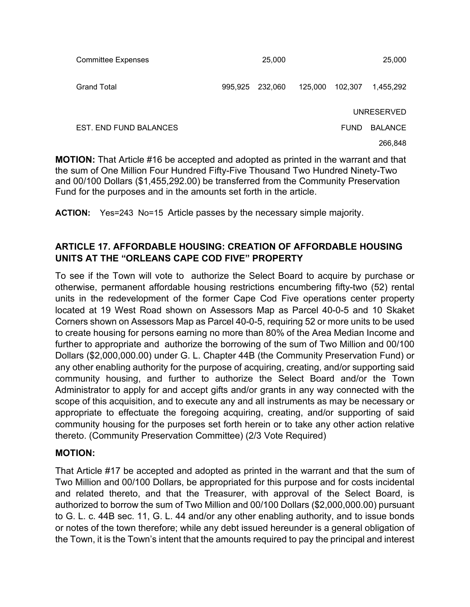| <b>Committee Expenses</b> |         | 25,000  |         |             | 25,000         |
|---------------------------|---------|---------|---------|-------------|----------------|
| <b>Grand Total</b>        | 995,925 | 232,060 | 125,000 | 102,307     | 1,455,292      |
|                           |         |         |         |             | UNRESERVED     |
| EST. END FUND BALANCES    |         |         |         | <b>FUND</b> | <b>BALANCE</b> |
|                           |         |         |         |             | 266.848        |

**MOTION:** That Article #16 be accepted and adopted as printed in the warrant and that the sum of One Million Four Hundred Fifty-Five Thousand Two Hundred Ninety-Two and 00/100 Dollars (\$1,455,292.00) be transferred from the Community Preservation Fund for the purposes and in the amounts set forth in the article.

**ACTION:** Yes=243 No=15 Article passes by the necessary simple majority.

## **ARTICLE 17. AFFORDABLE HOUSING: CREATION OF AFFORDABLE HOUSING UNITS AT THE "ORLEANS CAPE COD FIVE" PROPERTY**

To see if the Town will vote to authorize the Select Board to acquire by purchase or otherwise, permanent affordable housing restrictions encumbering fifty-two (52) rental units in the redevelopment of the former Cape Cod Five operations center property located at 19 West Road shown on Assessors Map as Parcel 40-0-5 and 10 Skaket Corners shown on Assessors Map as Parcel 40-0-5, requiring 52 or more units to be used to create housing for persons earning no more than 80% of the Area Median Income and further to appropriate and authorize the borrowing of the sum of Two Million and 00/100 Dollars (\$2,000,000.00) under G. L. Chapter 44B (the Community Preservation Fund) or any other enabling authority for the purpose of acquiring, creating, and/or supporting said community housing, and further to authorize the Select Board and/or the Town Administrator to apply for and accept gifts and/or grants in any way connected with the scope of this acquisition, and to execute any and all instruments as may be necessary or appropriate to effectuate the foregoing acquiring, creating, and/or supporting of said community housing for the purposes set forth herein or to take any other action relative thereto. (Community Preservation Committee) (2/3 Vote Required)

#### **MOTION:**

That Article #17 be accepted and adopted as printed in the warrant and that the sum of Two Million and 00/100 Dollars, be appropriated for this purpose and for costs incidental and related thereto, and that the Treasurer, with approval of the Select Board, is authorized to borrow the sum of Two Million and 00/100 Dollars (\$2,000,000.00) pursuant to G. L. c. 44B sec. 11, G. L. 44 and/or any other enabling authority, and to issue bonds or notes of the town therefore; while any debt issued hereunder is a general obligation of the Town, it is the Town's intent that the amounts required to pay the principal and interest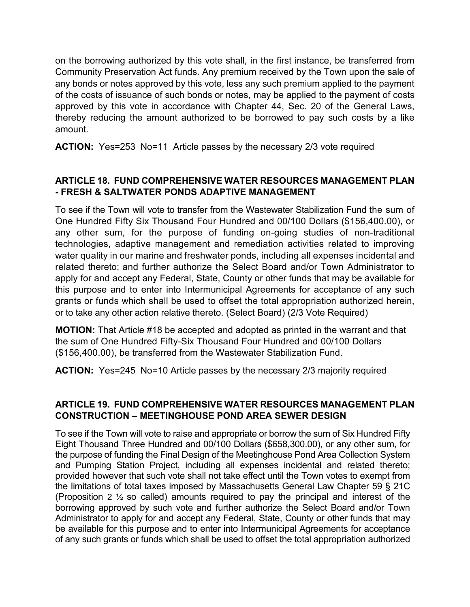on the borrowing authorized by this vote shall, in the first instance, be transferred from Community Preservation Act funds. Any premium received by the Town upon the sale of any bonds or notes approved by this vote, less any such premium applied to the payment of the costs of issuance of such bonds or notes, may be applied to the payment of costs approved by this vote in accordance with Chapter 44, Sec. 20 of the General Laws, thereby reducing the amount authorized to be borrowed to pay such costs by a like amount.

**ACTION:** Yes=253 No=11 Article passes by the necessary 2/3 vote required

## **ARTICLE 18. FUND COMPREHENSIVE WATER RESOURCES MANAGEMENT PLAN - FRESH & SALTWATER PONDS ADAPTIVE MANAGEMENT**

To see if the Town will vote to transfer from the Wastewater Stabilization Fund the sum of One Hundred Fifty Six Thousand Four Hundred and 00/100 Dollars (\$156,400.00), or any other sum, for the purpose of funding on-going studies of non-traditional technologies, adaptive management and remediation activities related to improving water quality in our marine and freshwater ponds, including all expenses incidental and related thereto; and further authorize the Select Board and/or Town Administrator to apply for and accept any Federal, State, County or other funds that may be available for this purpose and to enter into Intermunicipal Agreements for acceptance of any such grants or funds which shall be used to offset the total appropriation authorized herein, or to take any other action relative thereto. (Select Board) (2/3 Vote Required)

**MOTION:** That Article #18 be accepted and adopted as printed in the warrant and that the sum of One Hundred Fifty-Six Thousand Four Hundred and 00/100 Dollars (\$156,400.00), be transferred from the Wastewater Stabilization Fund.

**ACTION:** Yes=245 No=10 Article passes by the necessary 2/3 majority required

### **ARTICLE 19. FUND COMPREHENSIVE WATER RESOURCES MANAGEMENT PLAN CONSTRUCTION – MEETINGHOUSE POND AREA SEWER DESIGN**

To see if the Town will vote to raise and appropriate or borrow the sum of Six Hundred Fifty Eight Thousand Three Hundred and 00/100 Dollars (\$658,300.00), or any other sum, for the purpose of funding the Final Design of the Meetinghouse Pond Area Collection System and Pumping Station Project, including all expenses incidental and related thereto; provided however that such vote shall not take effect until the Town votes to exempt from the limitations of total taxes imposed by Massachusetts General Law Chapter 59 § 21C (Proposition 2 ½ so called) amounts required to pay the principal and interest of the borrowing approved by such vote and further authorize the Select Board and/or Town Administrator to apply for and accept any Federal, State, County or other funds that may be available for this purpose and to enter into Intermunicipal Agreements for acceptance of any such grants or funds which shall be used to offset the total appropriation authorized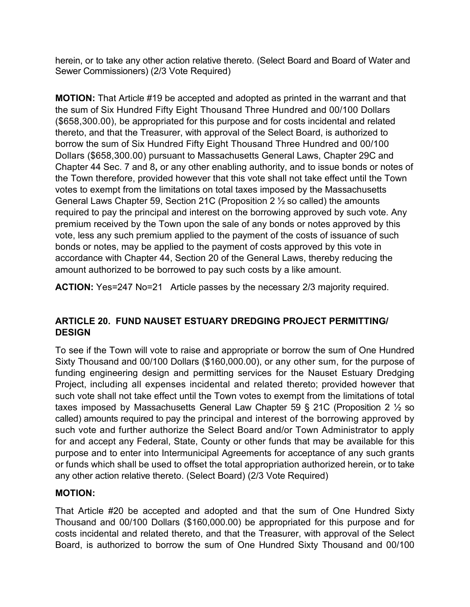herein, or to take any other action relative thereto. (Select Board and Board of Water and Sewer Commissioners) (2/3 Vote Required)

**MOTION:** That Article #19 be accepted and adopted as printed in the warrant and that the sum of Six Hundred Fifty Eight Thousand Three Hundred and 00/100 Dollars (\$658,300.00), be appropriated for this purpose and for costs incidental and related thereto, and that the Treasurer, with approval of the Select Board, is authorized to borrow the sum of Six Hundred Fifty Eight Thousand Three Hundred and 00/100 Dollars (\$658,300.00) pursuant to Massachusetts General Laws, Chapter 29C and Chapter 44 Sec. 7 and 8**,** or any other enabling authority, and to issue bonds or notes of the Town therefore, provided however that this vote shall not take effect until the Town votes to exempt from the limitations on total taxes imposed by the Massachusetts General Laws Chapter 59, Section 21C (Proposition 2 ½ so called) the amounts required to pay the principal and interest on the borrowing approved by such vote. Any premium received by the Town upon the sale of any bonds or notes approved by this vote, less any such premium applied to the payment of the costs of issuance of such bonds or notes, may be applied to the payment of costs approved by this vote in accordance with Chapter 44, Section 20 of the General Laws, thereby reducing the amount authorized to be borrowed to pay such costs by a like amount.

**ACTION:** Yes=247 No=21 Article passes by the necessary 2/3 majority required.

# **ARTICLE 20. FUND NAUSET ESTUARY DREDGING PROJECT PERMITTING/ DESIGN**

To see if the Town will vote to raise and appropriate or borrow the sum of One Hundred Sixty Thousand and 00/100 Dollars (\$160,000.00), or any other sum, for the purpose of funding engineering design and permitting services for the Nauset Estuary Dredging Project, including all expenses incidental and related thereto; provided however that such vote shall not take effect until the Town votes to exempt from the limitations of total taxes imposed by Massachusetts General Law Chapter 59 § 21C (Proposition 2 ½ so called) amounts required to pay the principal and interest of the borrowing approved by such vote and further authorize the Select Board and/or Town Administrator to apply for and accept any Federal, State, County or other funds that may be available for this purpose and to enter into Intermunicipal Agreements for acceptance of any such grants or funds which shall be used to offset the total appropriation authorized herein, or to take any other action relative thereto. (Select Board) (2/3 Vote Required)

# **MOTION:**

That Article #20 be accepted and adopted and that the sum of One Hundred Sixty Thousand and 00/100 Dollars (\$160,000.00) be appropriated for this purpose and for costs incidental and related thereto, and that the Treasurer, with approval of the Select Board, is authorized to borrow the sum of One Hundred Sixty Thousand and 00/100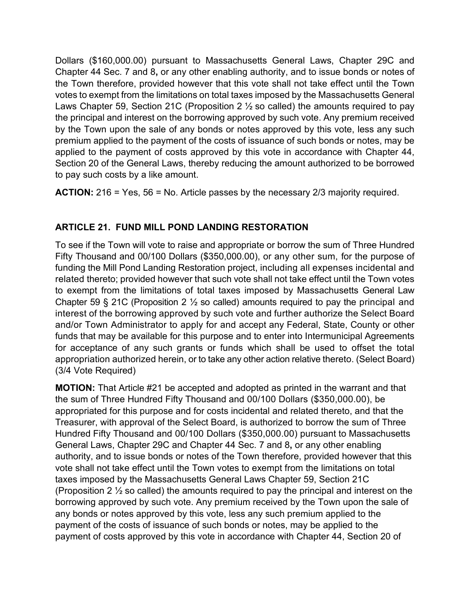Dollars (\$160,000.00) pursuant to Massachusetts General Laws, Chapter 29C and Chapter 44 Sec. 7 and 8**,** or any other enabling authority, and to issue bonds or notes of the Town therefore, provided however that this vote shall not take effect until the Town votes to exempt from the limitations on total taxes imposed by the Massachusetts General Laws Chapter 59, Section 21C (Proposition 2  $\frac{1}{2}$  so called) the amounts required to pay the principal and interest on the borrowing approved by such vote. Any premium received by the Town upon the sale of any bonds or notes approved by this vote, less any such premium applied to the payment of the costs of issuance of such bonds or notes, may be applied to the payment of costs approved by this vote in accordance with Chapter 44, Section 20 of the General Laws, thereby reducing the amount authorized to be borrowed to pay such costs by a like amount.

**ACTION:** 216 = Yes, 56 = No. Article passes by the necessary 2/3 majority required.

# **ARTICLE 21. FUND MILL POND LANDING RESTORATION**

To see if the Town will vote to raise and appropriate or borrow the sum of Three Hundred Fifty Thousand and 00/100 Dollars (\$350,000.00), or any other sum, for the purpose of funding the Mill Pond Landing Restoration project, including all expenses incidental and related thereto; provided however that such vote shall not take effect until the Town votes to exempt from the limitations of total taxes imposed by Massachusetts General Law Chapter 59 § 21C (Proposition 2  $\frac{1}{2}$  so called) amounts required to pay the principal and interest of the borrowing approved by such vote and further authorize the Select Board and/or Town Administrator to apply for and accept any Federal, State, County or other funds that may be available for this purpose and to enter into Intermunicipal Agreements for acceptance of any such grants or funds which shall be used to offset the total appropriation authorized herein, or to take any other action relative thereto. (Select Board) (3/4 Vote Required)

**MOTION:** That Article #21 be accepted and adopted as printed in the warrant and that the sum of Three Hundred Fifty Thousand and 00/100 Dollars (\$350,000.00), be appropriated for this purpose and for costs incidental and related thereto, and that the Treasurer, with approval of the Select Board, is authorized to borrow the sum of Three Hundred Fifty Thousand and 00/100 Dollars (\$350,000.00) pursuant to Massachusetts General Laws, Chapter 29C and Chapter 44 Sec. 7 and 8**,** or any other enabling authority, and to issue bonds or notes of the Town therefore, provided however that this vote shall not take effect until the Town votes to exempt from the limitations on total taxes imposed by the Massachusetts General Laws Chapter 59, Section 21C (Proposition 2  $\frac{1}{2}$  so called) the amounts required to pay the principal and interest on the borrowing approved by such vote. Any premium received by the Town upon the sale of any bonds or notes approved by this vote, less any such premium applied to the payment of the costs of issuance of such bonds or notes, may be applied to the payment of costs approved by this vote in accordance with Chapter 44, Section 20 of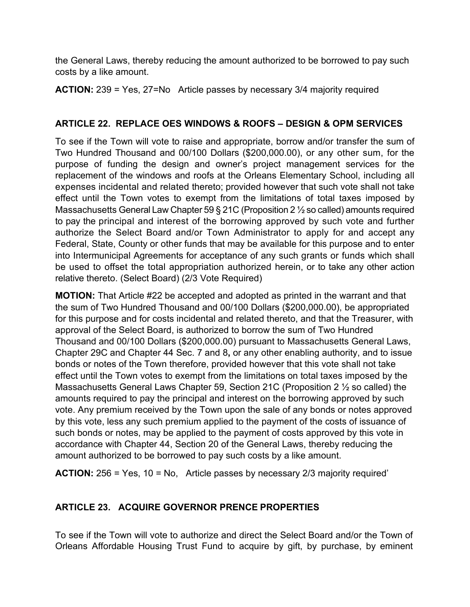the General Laws, thereby reducing the amount authorized to be borrowed to pay such costs by a like amount.

**ACTION:** 239 = Yes, 27=No Article passes by necessary 3/4 majority required

# **ARTICLE 22. REPLACE OES WINDOWS & ROOFS – DESIGN & OPM SERVICES**

To see if the Town will vote to raise and appropriate, borrow and/or transfer the sum of Two Hundred Thousand and 00/100 Dollars (\$200,000.00), or any other sum, for the purpose of funding the design and owner's project management services for the replacement of the windows and roofs at the Orleans Elementary School, including all expenses incidental and related thereto; provided however that such vote shall not take effect until the Town votes to exempt from the limitations of total taxes imposed by Massachusetts General Law Chapter 59 § 21C (Proposition 2 ½ so called) amounts required to pay the principal and interest of the borrowing approved by such vote and further authorize the Select Board and/or Town Administrator to apply for and accept any Federal, State, County or other funds that may be available for this purpose and to enter into Intermunicipal Agreements for acceptance of any such grants or funds which shall be used to offset the total appropriation authorized herein, or to take any other action relative thereto. (Select Board) (2/3 Vote Required)

**MOTION:** That Article #22 be accepted and adopted as printed in the warrant and that the sum of Two Hundred Thousand and 00/100 Dollars (\$200,000.00), be appropriated for this purpose and for costs incidental and related thereto, and that the Treasurer, with approval of the Select Board, is authorized to borrow the sum of Two Hundred Thousand and 00/100 Dollars (\$200,000.00) pursuant to Massachusetts General Laws, Chapter 29C and Chapter 44 Sec. 7 and 8**,** or any other enabling authority, and to issue bonds or notes of the Town therefore, provided however that this vote shall not take effect until the Town votes to exempt from the limitations on total taxes imposed by the Massachusetts General Laws Chapter 59, Section 21C (Proposition 2 ½ so called) the amounts required to pay the principal and interest on the borrowing approved by such vote. Any premium received by the Town upon the sale of any bonds or notes approved by this vote, less any such premium applied to the payment of the costs of issuance of such bonds or notes, may be applied to the payment of costs approved by this vote in accordance with Chapter 44, Section 20 of the General Laws, thereby reducing the amount authorized to be borrowed to pay such costs by a like amount.

**ACTION:** 256 = Yes, 10 = No, Article passes by necessary 2/3 majority required'

# **ARTICLE 23. ACQUIRE GOVERNOR PRENCE PROPERTIES**

To see if the Town will vote to authorize and direct the Select Board and/or the Town of Orleans Affordable Housing Trust Fund to acquire by gift, by purchase, by eminent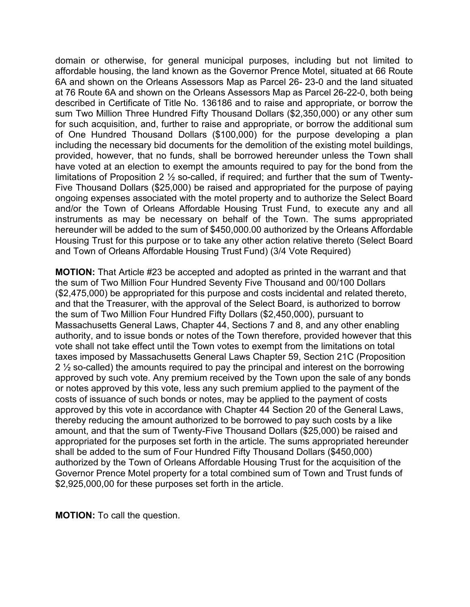domain or otherwise, for general municipal purposes, including but not limited to affordable housing, the land known as the Governor Prence Motel, situated at 66 Route 6A and shown on the Orleans Assessors Map as Parcel 26- 23-0 and the land situated at 76 Route 6A and shown on the Orleans Assessors Map as Parcel 26-22-0, both being described in Certificate of Title No. 136186 and to raise and appropriate, or borrow the sum Two Million Three Hundred Fifty Thousand Dollars (\$2,350,000) or any other sum for such acquisition, and, further to raise and appropriate, or borrow the additional sum of One Hundred Thousand Dollars (\$100,000) for the purpose developing a plan including the necessary bid documents for the demolition of the existing motel buildings, provided, however, that no funds, shall be borrowed hereunder unless the Town shall have voted at an election to exempt the amounts required to pay for the bond from the limitations of Proposition 2 ½ so-called, if required; and further that the sum of Twenty-Five Thousand Dollars (\$25,000) be raised and appropriated for the purpose of paying ongoing expenses associated with the motel property and to authorize the Select Board and/or the Town of Orleans Affordable Housing Trust Fund, to execute any and all instruments as may be necessary on behalf of the Town. The sums appropriated hereunder will be added to the sum of \$450,000.00 authorized by the Orleans Affordable Housing Trust for this purpose or to take any other action relative thereto (Select Board and Town of Orleans Affordable Housing Trust Fund) (3/4 Vote Required)

**MOTION:** That Article #23 be accepted and adopted as printed in the warrant and that the sum of Two Million Four Hundred Seventy Five Thousand and 00/100 Dollars (\$2,475,000) be appropriated for this purpose and costs incidental and related thereto, and that the Treasurer, with the approval of the Select Board, is authorized to borrow the sum of Two Million Four Hundred Fifty Dollars (\$2,450,000), pursuant to Massachusetts General Laws, Chapter 44, Sections 7 and 8, and any other enabling authority, and to issue bonds or notes of the Town therefore, provided however that this vote shall not take effect until the Town votes to exempt from the limitations on total taxes imposed by Massachusetts General Laws Chapter 59, Section 21C (Proposition  $2\frac{1}{2}$  so-called) the amounts required to pay the principal and interest on the borrowing approved by such vote. Any premium received by the Town upon the sale of any bonds or notes approved by this vote, less any such premium applied to the payment of the costs of issuance of such bonds or notes, may be applied to the payment of costs approved by this vote in accordance with Chapter 44 Section 20 of the General Laws, thereby reducing the amount authorized to be borrowed to pay such costs by a like amount, and that the sum of Twenty-Five Thousand Dollars (\$25,000) be raised and appropriated for the purposes set forth in the article. The sums appropriated hereunder shall be added to the sum of Four Hundred Fifty Thousand Dollars (\$450,000) authorized by the Town of Orleans Affordable Housing Trust for the acquisition of the Governor Prence Motel property for a total combined sum of Town and Trust funds of \$2,925,000,00 for these purposes set forth in the article.

**MOTION:** To call the question.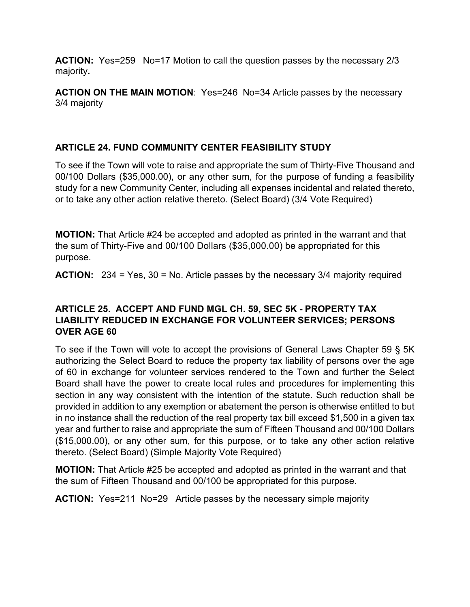**ACTION:** Yes=259 No=17 Motion to call the question passes by the necessary 2/3 majority**.**

**ACTION ON THE MAIN MOTION**: Yes=246 No=34 Article passes by the necessary 3/4 majority

# **ARTICLE 24. FUND COMMUNITY CENTER FEASIBILITY STUDY**

To see if the Town will vote to raise and appropriate the sum of Thirty-Five Thousand and 00/100 Dollars (\$35,000.00), or any other sum, for the purpose of funding a feasibility study for a new Community Center, including all expenses incidental and related thereto, or to take any other action relative thereto. (Select Board) (3/4 Vote Required)

**MOTION:** That Article #24 be accepted and adopted as printed in the warrant and that the sum of Thirty-Five and 00/100 Dollars (\$35,000.00) be appropriated for this purpose.

**ACTION:** 234 = Yes, 30 = No. Article passes by the necessary 3/4 majority required

## **ARTICLE 25. ACCEPT AND FUND MGL CH. 59, SEC 5K - PROPERTY TAX LIABILITY REDUCED IN EXCHANGE FOR VOLUNTEER SERVICES; PERSONS OVER AGE 60**

To see if the Town will vote to accept the provisions of General Laws Chapter 59 § 5K authorizing the Select Board to reduce the property tax liability of persons over the age of 60 in exchange for volunteer services rendered to the Town and further the Select Board shall have the power to create local rules and procedures for implementing this section in any way consistent with the intention of the statute. Such reduction shall be provided in addition to any exemption or abatement the person is otherwise entitled to but in no instance shall the reduction of the real property tax bill exceed \$1,500 in a given tax year and further to raise and appropriate the sum of Fifteen Thousand and 00/100 Dollars (\$15,000.00), or any other sum, for this purpose, or to take any other action relative thereto. (Select Board) (Simple Majority Vote Required)

**MOTION:** That Article #25 be accepted and adopted as printed in the warrant and that the sum of Fifteen Thousand and 00/100 be appropriated for this purpose.

**ACTION:** Yes=211 No=29 Article passes by the necessary simple majority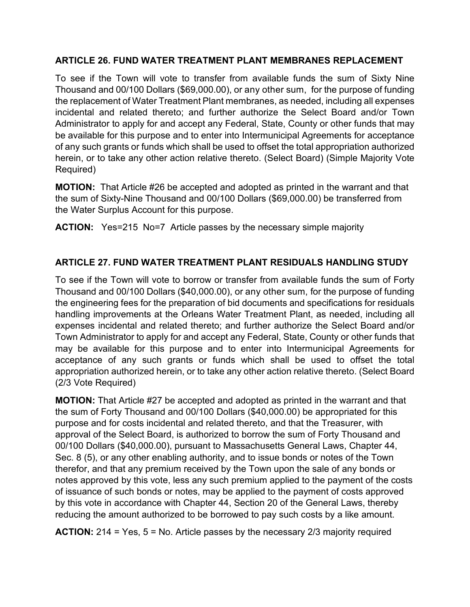## **ARTICLE 26. FUND WATER TREATMENT PLANT MEMBRANES REPLACEMENT**

To see if the Town will vote to transfer from available funds the sum of Sixty Nine Thousand and 00/100 Dollars (\$69,000.00), or any other sum, for the purpose of funding the replacement of Water Treatment Plant membranes, as needed, including all expenses incidental and related thereto; and further authorize the Select Board and/or Town Administrator to apply for and accept any Federal, State, County or other funds that may be available for this purpose and to enter into Intermunicipal Agreements for acceptance of any such grants or funds which shall be used to offset the total appropriation authorized herein, or to take any other action relative thereto. (Select Board) (Simple Majority Vote Required)

**MOTION:** That Article #26 be accepted and adopted as printed in the warrant and that the sum of Sixty-Nine Thousand and 00/100 Dollars (\$69,000.00) be transferred from the Water Surplus Account for this purpose.

**ACTION:** Yes=215 No=7Article passes by the necessary simple majority

## **ARTICLE 27. FUND WATER TREATMENT PLANT RESIDUALS HANDLING STUDY**

To see if the Town will vote to borrow or transfer from available funds the sum of Forty Thousand and 00/100 Dollars (\$40,000.00), or any other sum, for the purpose of funding the engineering fees for the preparation of bid documents and specifications for residuals handling improvements at the Orleans Water Treatment Plant, as needed, including all expenses incidental and related thereto; and further authorize the Select Board and/or Town Administrator to apply for and accept any Federal, State, County or other funds that may be available for this purpose and to enter into Intermunicipal Agreements for acceptance of any such grants or funds which shall be used to offset the total appropriation authorized herein, or to take any other action relative thereto. (Select Board (2/3 Vote Required)

**MOTION:** That Article #27 be accepted and adopted as printed in the warrant and that the sum of Forty Thousand and 00/100 Dollars (\$40,000.00) be appropriated for this purpose and for costs incidental and related thereto, and that the Treasurer, with approval of the Select Board, is authorized to borrow the sum of Forty Thousand and 00/100 Dollars (\$40,000.00), pursuant to Massachusetts General Laws, Chapter 44, Sec. 8 (5), or any other enabling authority, and to issue bonds or notes of the Town therefor, and that any premium received by the Town upon the sale of any bonds or notes approved by this vote, less any such premium applied to the payment of the costs of issuance of such bonds or notes, may be applied to the payment of costs approved by this vote in accordance with Chapter 44, Section 20 of the General Laws, thereby reducing the amount authorized to be borrowed to pay such costs by a like amount.

**ACTION:** 214 = Yes, 5 = No. Article passes by the necessary 2/3 majority required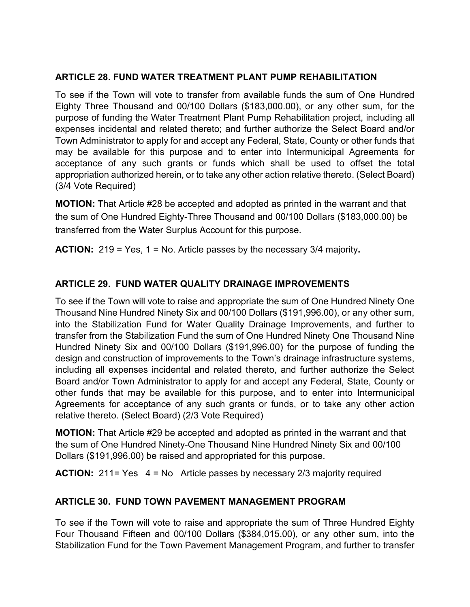## **ARTICLE 28. FUND WATER TREATMENT PLANT PUMP REHABILITATION**

To see if the Town will vote to transfer from available funds the sum of One Hundred Eighty Three Thousand and 00/100 Dollars (\$183,000.00), or any other sum, for the purpose of funding the Water Treatment Plant Pump Rehabilitation project, including all expenses incidental and related thereto; and further authorize the Select Board and/or Town Administrator to apply for and accept any Federal, State, County or other funds that may be available for this purpose and to enter into Intermunicipal Agreements for acceptance of any such grants or funds which shall be used to offset the total appropriation authorized herein, or to take any other action relative thereto. (Select Board) (3/4 Vote Required)

**MOTION: T**hat Article #28 be accepted and adopted as printed in the warrant and that the sum of One Hundred Eighty-Three Thousand and 00/100 Dollars (\$183,000.00) be transferred from the Water Surplus Account for this purpose.

**ACTION:** 219 = Yes, 1 = No. Article passes by the necessary 3/4 majority**.**

# **ARTICLE 29. FUND WATER QUALITY DRAINAGE IMPROVEMENTS**

To see if the Town will vote to raise and appropriate the sum of One Hundred Ninety One Thousand Nine Hundred Ninety Six and 00/100 Dollars (\$191,996.00), or any other sum, into the Stabilization Fund for Water Quality Drainage Improvements, and further to transfer from the Stabilization Fund the sum of One Hundred Ninety One Thousand Nine Hundred Ninety Six and 00/100 Dollars (\$191,996.00) for the purpose of funding the design and construction of improvements to the Town's drainage infrastructure systems, including all expenses incidental and related thereto, and further authorize the Select Board and/or Town Administrator to apply for and accept any Federal, State, County or other funds that may be available for this purpose, and to enter into Intermunicipal Agreements for acceptance of any such grants or funds, or to take any other action relative thereto. (Select Board) (2/3 Vote Required)

**MOTION:** That Article #29 be accepted and adopted as printed in the warrant and that the sum of One Hundred Ninety-One Thousand Nine Hundred Ninety Six and 00/100 Dollars (\$191,996.00) be raised and appropriated for this purpose.

**ACTION:** 211= Yes 4 = No Article passes by necessary 2/3 majority required

## **ARTICLE 30. FUND TOWN PAVEMENT MANAGEMENT PROGRAM**

To see if the Town will vote to raise and appropriate the sum of Three Hundred Eighty Four Thousand Fifteen and 00/100 Dollars (\$384,015.00), or any other sum, into the Stabilization Fund for the Town Pavement Management Program, and further to transfer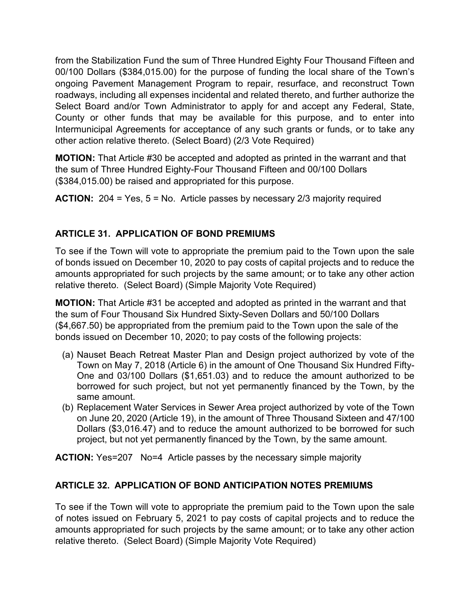from the Stabilization Fund the sum of Three Hundred Eighty Four Thousand Fifteen and 00/100 Dollars (\$384,015.00) for the purpose of funding the local share of the Town's ongoing Pavement Management Program to repair, resurface, and reconstruct Town roadways, including all expenses incidental and related thereto, and further authorize the Select Board and/or Town Administrator to apply for and accept any Federal, State, County or other funds that may be available for this purpose, and to enter into Intermunicipal Agreements for acceptance of any such grants or funds, or to take any other action relative thereto. (Select Board) (2/3 Vote Required)

**MOTION:** That Article #30 be accepted and adopted as printed in the warrant and that the sum of Three Hundred Eighty-Four Thousand Fifteen and 00/100 Dollars (\$384,015.00) be raised and appropriated for this purpose.

**ACTION:** 204 = Yes, 5 = No. Article passes by necessary 2/3 majority required

# **ARTICLE 31. APPLICATION OF BOND PREMIUMS**

To see if the Town will vote to appropriate the premium paid to the Town upon the sale of bonds issued on December 10, 2020 to pay costs of capital projects and to reduce the amounts appropriated for such projects by the same amount; or to take any other action relative thereto. (Select Board) (Simple Majority Vote Required)

**MOTION:** That Article #31 be accepted and adopted as printed in the warrant and that the sum of Four Thousand Six Hundred Sixty-Seven Dollars and 50/100 Dollars (\$4,667.50) be appropriated from the premium paid to the Town upon the sale of the bonds issued on December 10, 2020; to pay costs of the following projects:

- (a) Nauset Beach Retreat Master Plan and Design project authorized by vote of the Town on May 7, 2018 (Article 6) in the amount of One Thousand Six Hundred Fifty-One and 03/100 Dollars (\$1,651.03) and to reduce the amount authorized to be borrowed for such project, but not yet permanently financed by the Town, by the same amount.
- (b) Replacement Water Services in Sewer Area project authorized by vote of the Town on June 20, 2020 (Article 19), in the amount of Three Thousand Sixteen and 47/100 Dollars (\$3,016.47) and to reduce the amount authorized to be borrowed for such project, but not yet permanently financed by the Town, by the same amount.

**ACTION:** Yes=207 No=4 Article passes by the necessary simple majority

# **ARTICLE 32. APPLICATION OF BOND ANTICIPATION NOTES PREMIUMS**

To see if the Town will vote to appropriate the premium paid to the Town upon the sale of notes issued on February 5, 2021 to pay costs of capital projects and to reduce the amounts appropriated for such projects by the same amount; or to take any other action relative thereto. (Select Board) (Simple Majority Vote Required)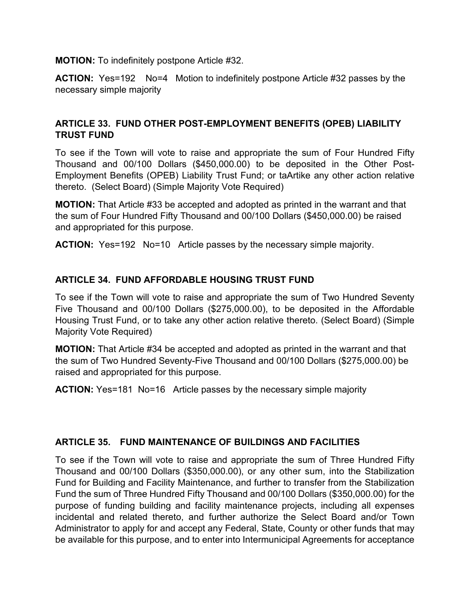**MOTION:** To indefinitely postpone Article #32.

**ACTION:** Yes=192 No=4 Motion to indefinitely postpone Article #32 passes by the necessary simple majority

## **ARTICLE 33. FUND OTHER POST-EMPLOYMENT BENEFITS (OPEB) LIABILITY TRUST FUND**

To see if the Town will vote to raise and appropriate the sum of Four Hundred Fifty Thousand and 00/100 Dollars (\$450,000.00) to be deposited in the Other Post-Employment Benefits (OPEB) Liability Trust Fund; or taArtike any other action relative thereto. (Select Board) (Simple Majority Vote Required)

**MOTION:** That Article #33 be accepted and adopted as printed in the warrant and that the sum of Four Hundred Fifty Thousand and 00/100 Dollars (\$450,000.00) be raised and appropriated for this purpose.

**ACTION:** Yes=192 No=10 Article passes by the necessary simple majority.

## **ARTICLE 34. FUND AFFORDABLE HOUSING TRUST FUND**

To see if the Town will vote to raise and appropriate the sum of Two Hundred Seventy Five Thousand and 00/100 Dollars (\$275,000.00), to be deposited in the Affordable Housing Trust Fund, or to take any other action relative thereto. (Select Board) (Simple Majority Vote Required)

**MOTION:** That Article #34 be accepted and adopted as printed in the warrant and that the sum of Two Hundred Seventy-Five Thousand and 00/100 Dollars (\$275,000.00) be raised and appropriated for this purpose.

**ACTION:** Yes=181 No=16 Article passes by the necessary simple majority

## **ARTICLE 35. FUND MAINTENANCE OF BUILDINGS AND FACILITIES**

To see if the Town will vote to raise and appropriate the sum of Three Hundred Fifty Thousand and 00/100 Dollars (\$350,000.00), or any other sum, into the Stabilization Fund for Building and Facility Maintenance, and further to transfer from the Stabilization Fund the sum of Three Hundred Fifty Thousand and 00/100 Dollars (\$350,000.00) for the purpose of funding building and facility maintenance projects, including all expenses incidental and related thereto, and further authorize the Select Board and/or Town Administrator to apply for and accept any Federal, State, County or other funds that may be available for this purpose, and to enter into Intermunicipal Agreements for acceptance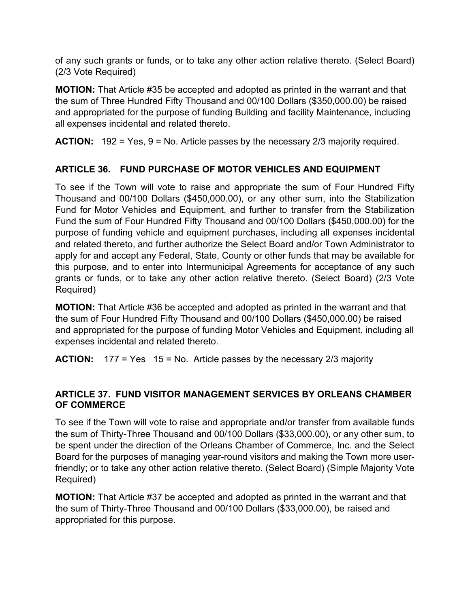of any such grants or funds, or to take any other action relative thereto. (Select Board) (2/3 Vote Required)

**MOTION:** That Article #35 be accepted and adopted as printed in the warrant and that the sum of Three Hundred Fifty Thousand and 00/100 Dollars (\$350,000.00) be raised and appropriated for the purpose of funding Building and facility Maintenance, including all expenses incidental and related thereto.

**ACTION:** 192 = Yes, 9 = No. Article passes by the necessary 2/3 majority required.

# **ARTICLE 36. FUND PURCHASE OF MOTOR VEHICLES AND EQUIPMENT**

To see if the Town will vote to raise and appropriate the sum of Four Hundred Fifty Thousand and 00/100 Dollars (\$450,000.00), or any other sum, into the Stabilization Fund for Motor Vehicles and Equipment, and further to transfer from the Stabilization Fund the sum of Four Hundred Fifty Thousand and 00/100 Dollars (\$450,000.00) for the purpose of funding vehicle and equipment purchases, including all expenses incidental and related thereto, and further authorize the Select Board and/or Town Administrator to apply for and accept any Federal, State, County or other funds that may be available for this purpose, and to enter into Intermunicipal Agreements for acceptance of any such grants or funds, or to take any other action relative thereto. (Select Board) (2/3 Vote Required)

**MOTION:** That Article #36 be accepted and adopted as printed in the warrant and that the sum of Four Hundred Fifty Thousand and 00/100 Dollars (\$450,000.00) be raised and appropriated for the purpose of funding Motor Vehicles and Equipment, including all expenses incidental and related thereto.

**ACTION:** 177 = Yes 15 = No. Article passes by the necessary 2/3 majority

## **ARTICLE 37. FUND VISITOR MANAGEMENT SERVICES BY ORLEANS CHAMBER OF COMMERCE**

To see if the Town will vote to raise and appropriate and/or transfer from available funds the sum of Thirty-Three Thousand and 00/100 Dollars (\$33,000.00), or any other sum, to be spent under the direction of the Orleans Chamber of Commerce, Inc. and the Select Board for the purposes of managing year-round visitors and making the Town more userfriendly; or to take any other action relative thereto. (Select Board) (Simple Majority Vote Required)

**MOTION:** That Article #37 be accepted and adopted as printed in the warrant and that the sum of Thirty-Three Thousand and 00/100 Dollars (\$33,000.00), be raised and appropriated for this purpose.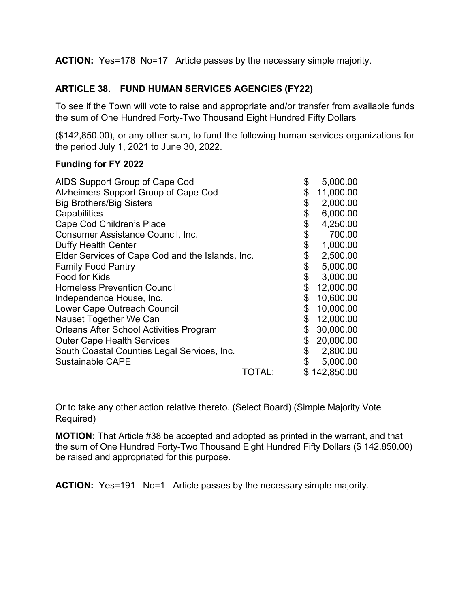**ACTION:** Yes=178 No=17 Article passes by the necessary simple majority.

## **ARTICLE 38. FUND HUMAN SERVICES AGENCIES (FY22)**

To see if the Town will vote to raise and appropriate and/or transfer from available funds the sum of One Hundred Forty-Two Thousand Eight Hundred Fifty Dollars

(\$142,850.00), or any other sum, to fund the following human services organizations for the period July 1, 2021 to June 30, 2022.

#### **Funding for FY 2022**

| AIDS Support Group of Cape Cod                   |        | \$<br>5,000.00  |
|--------------------------------------------------|--------|-----------------|
| Alzheimers Support Group of Cape Cod             |        | \$<br>11,000.00 |
| <b>Big Brothers/Big Sisters</b>                  |        | \$<br>2,000.00  |
| Capabilities                                     |        | \$<br>6,000.00  |
| Cape Cod Children's Place                        |        | \$<br>4,250.00  |
| <b>Consumer Assistance Council, Inc.</b>         |        | \$<br>700.00    |
| <b>Duffy Health Center</b>                       |        | \$<br>1,000.00  |
| Elder Services of Cape Cod and the Islands, Inc. |        | \$<br>2,500.00  |
| <b>Family Food Pantry</b>                        |        | \$<br>5,000.00  |
| Food for Kids                                    |        | \$<br>3,000.00  |
| <b>Homeless Prevention Council</b>               |        | \$<br>12,000.00 |
| Independence House, Inc.                         |        | \$<br>10,600.00 |
| Lower Cape Outreach Council                      |        | \$<br>10,000.00 |
| Nauset Together We Can                           |        | \$<br>12,000.00 |
| <b>Orleans After School Activities Program</b>   |        | \$<br>30,000.00 |
| <b>Outer Cape Health Services</b>                |        | \$<br>20,000.00 |
| South Coastal Counties Legal Services, Inc.      |        | \$<br>2,800.00  |
| <b>Sustainable CAPE</b>                          |        | 5,000.00        |
|                                                  | TOTAL: | \$142,850.00    |

Or to take any other action relative thereto. (Select Board) (Simple Majority Vote Required)

**MOTION:** That Article #38 be accepted and adopted as printed in the warrant, and that the sum of One Hundred Forty-Two Thousand Eight Hundred Fifty Dollars (\$ 142,850.00) be raised and appropriated for this purpose.

**ACTION:** Yes=191 No=1 Article passes by the necessary simple majority.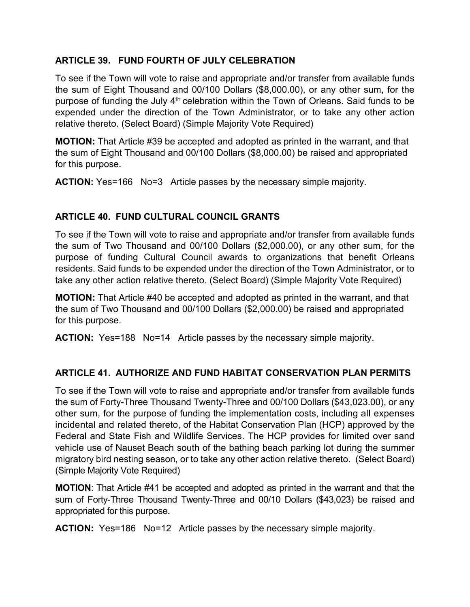## **ARTICLE 39. FUND FOURTH OF JULY CELEBRATION**

To see if the Town will vote to raise and appropriate and/or transfer from available funds the sum of Eight Thousand and 00/100 Dollars (\$8,000.00), or any other sum, for the purpose of funding the July 4<sup>th</sup> celebration within the Town of Orleans. Said funds to be expended under the direction of the Town Administrator, or to take any other action relative thereto. (Select Board) (Simple Majority Vote Required)

**MOTION:** That Article #39 be accepted and adopted as printed in the warrant, and that the sum of Eight Thousand and 00/100 Dollars (\$8,000.00) be raised and appropriated for this purpose.

**ACTION:** Yes=166 No=3 Article passes by the necessary simple majority.

## **ARTICLE 40. FUND CULTURAL COUNCIL GRANTS**

To see if the Town will vote to raise and appropriate and/or transfer from available funds the sum of Two Thousand and 00/100 Dollars (\$2,000.00), or any other sum, for the purpose of funding Cultural Council awards to organizations that benefit Orleans residents. Said funds to be expended under the direction of the Town Administrator, or to take any other action relative thereto. (Select Board) (Simple Majority Vote Required)

**MOTION:** That Article #40 be accepted and adopted as printed in the warrant, and that the sum of Two Thousand and 00/100 Dollars (\$2,000.00) be raised and appropriated for this purpose.

**ACTION:** Yes=188 No=14 Article passes by the necessary simple majority.

## **ARTICLE 41. AUTHORIZE AND FUND HABITAT CONSERVATION PLAN PERMITS**

To see if the Town will vote to raise and appropriate and/or transfer from available funds the sum of Forty-Three Thousand Twenty-Three and 00/100 Dollars (\$43,023.00), or any other sum, for the purpose of funding the implementation costs, including all expenses incidental and related thereto, of the Habitat Conservation Plan (HCP) approved by the Federal and State Fish and Wildlife Services. The HCP provides for limited over sand vehicle use of Nauset Beach south of the bathing beach parking lot during the summer migratory bird nesting season, or to take any other action relative thereto. (Select Board) (Simple Majority Vote Required)

**MOTION**: That Article #41 be accepted and adopted as printed in the warrant and that the sum of Forty-Three Thousand Twenty-Three and 00/10 Dollars (\$43,023) be raised and appropriated for this purpose.

**ACTION:** Yes=186 No=12 Article passes by the necessary simple majority.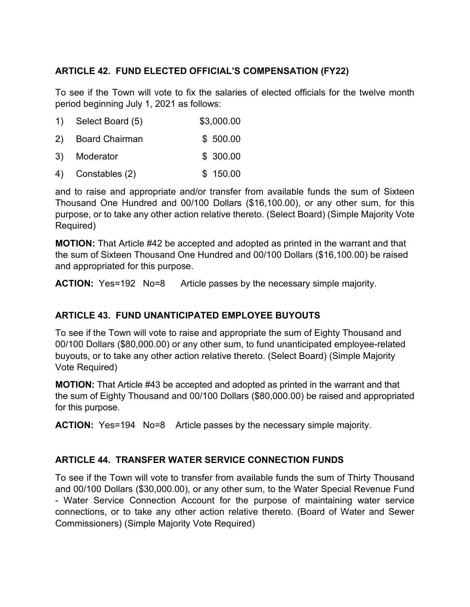## **ARTICLE 42. FUND ELECTED OFFICIAL'S COMPENSATION (FY22)**

To see if the Town will vote to fix the salaries of elected officials for the twelve month period beginning July 1, 2021 as follows:

| 1) Select Board (5) | \$3,000.00 |
|---------------------|------------|
| 2) Board Chairman   | \$500.00   |
| 3) Moderator        | \$300.00   |

4) Constables (2) \$ 150.00

and to raise and appropriate and/or transfer from available funds the sum of Sixteen Thousand One Hundred and 00/100 Dollars (\$16,100.00), or any other sum, for this purpose, or to take any other action relative thereto. (Select Board) (Simple Majority Vote Required)

**MOTION:** That Article #42 be accepted and adopted as printed in the warrant and that the sum of Sixteen Thousand One Hundred and 00/100 Dollars (\$16,100.00) be raised and appropriated for this purpose.

**ACTION:** Yes=192 No=8 Article passes by the necessary simple majority.

## **ARTICLE 43. FUND UNANTICIPATED EMPLOYEE BUYOUTS**

To see if the Town will vote to raise and appropriate the sum of Eighty Thousand and 00/100 Dollars (\$80,000.00) or any other sum, to fund unanticipated employee-related buyouts, or to take any other action relative thereto. (Select Board) (Simple Majority Vote Required)

**MOTION:** That Article #43 be accepted and adopted as printed in the warrant and that the sum of Eighty Thousand and 00/100 Dollars (\$80,000.00) be raised and appropriated for this purpose.

**ACTION:** Yes=194 No=8 Article passes by the necessary simple majority.

## **ARTICLE 44. TRANSFER WATER SERVICE CONNECTION FUNDS**

To see if the Town will vote to transfer from available funds the sum of Thirty Thousand and 00/100 Dollars (\$30,000.00), or any other sum, to the Water Special Revenue Fund - Water Service Connection Account for the purpose of maintaining water service connections, or to take any other action relative thereto. (Board of Water and Sewer Commissioners) (Simple Majority Vote Required)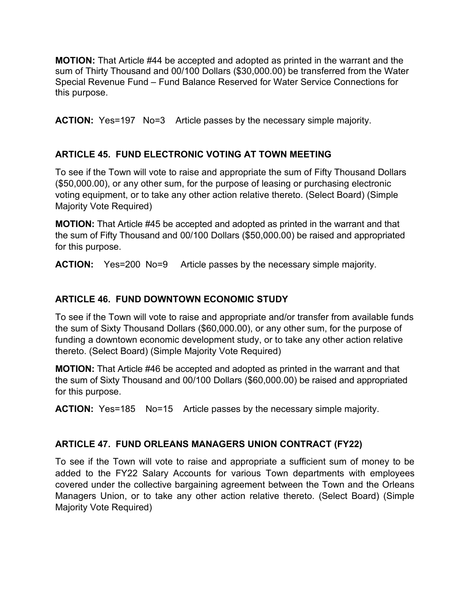**MOTION:** That Article #44 be accepted and adopted as printed in the warrant and the sum of Thirty Thousand and 00/100 Dollars (\$30,000.00) be transferred from the Water Special Revenue Fund – Fund Balance Reserved for Water Service Connections for this purpose.

**ACTION:** Yes=197 No=3 Article passes by the necessary simple majority.

## **ARTICLE 45. FUND ELECTRONIC VOTING AT TOWN MEETING**

To see if the Town will vote to raise and appropriate the sum of Fifty Thousand Dollars (\$50,000.00), or any other sum, for the purpose of leasing or purchasing electronic voting equipment, or to take any other action relative thereto. (Select Board) (Simple Majority Vote Required)

**MOTION:** That Article #45 be accepted and adopted as printed in the warrant and that the sum of Fifty Thousand and 00/100 Dollars (\$50,000.00) be raised and appropriated for this purpose.

**ACTION:** Yes=200 No=9 Article passes by the necessary simple majority.

### **ARTICLE 46. FUND DOWNTOWN ECONOMIC STUDY**

To see if the Town will vote to raise and appropriate and/or transfer from available funds the sum of Sixty Thousand Dollars (\$60,000.00), or any other sum, for the purpose of funding a downtown economic development study, or to take any other action relative thereto. (Select Board) (Simple Majority Vote Required)

**MOTION:** That Article #46 be accepted and adopted as printed in the warrant and that the sum of Sixty Thousand and 00/100 Dollars (\$60,000.00) be raised and appropriated for this purpose.

**ACTION:** Yes=185 No=15 Article passes by the necessary simple majority.

## **ARTICLE 47. FUND ORLEANS MANAGERS UNION CONTRACT (FY22)**

To see if the Town will vote to raise and appropriate a sufficient sum of money to be added to the FY22 Salary Accounts for various Town departments with employees covered under the collective bargaining agreement between the Town and the Orleans Managers Union, or to take any other action relative thereto. (Select Board) (Simple Majority Vote Required)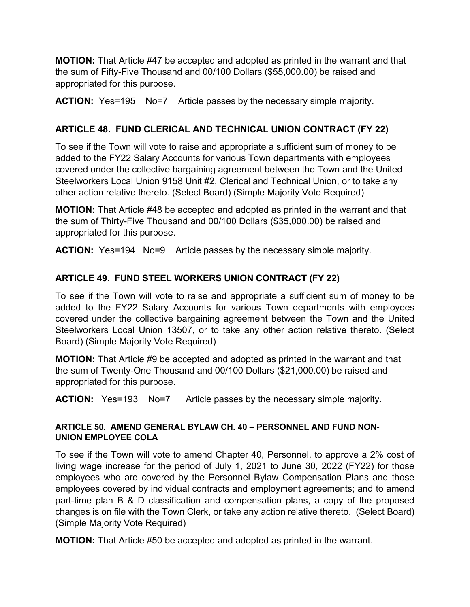**MOTION:** That Article #47 be accepted and adopted as printed in the warrant and that the sum of Fifty-Five Thousand and 00/100 Dollars (\$55,000.00) be raised and appropriated for this purpose.

**ACTION:** Yes=195 No=7 Article passes by the necessary simple majority.

## **ARTICLE 48. FUND CLERICAL AND TECHNICAL UNION CONTRACT (FY 22)**

To see if the Town will vote to raise and appropriate a sufficient sum of money to be added to the FY22 Salary Accounts for various Town departments with employees covered under the collective bargaining agreement between the Town and the United Steelworkers Local Union 9158 Unit #2, Clerical and Technical Union, or to take any other action relative thereto. (Select Board) (Simple Majority Vote Required)

**MOTION:** That Article #48 be accepted and adopted as printed in the warrant and that the sum of Thirty-Five Thousand and 00/100 Dollars (\$35,000.00) be raised and appropriated for this purpose.

**ACTION:** Yes=194 No=9 Article passes by the necessary simple majority.

# **ARTICLE 49. FUND STEEL WORKERS UNION CONTRACT (FY 22)**

To see if the Town will vote to raise and appropriate a sufficient sum of money to be added to the FY22 Salary Accounts for various Town departments with employees covered under the collective bargaining agreement between the Town and the United Steelworkers Local Union 13507, or to take any other action relative thereto. (Select Board) (Simple Majority Vote Required)

**MOTION:** That Article #9 be accepted and adopted as printed in the warrant and that the sum of Twenty-One Thousand and 00/100 Dollars (\$21,000.00) be raised and appropriated for this purpose.

**ACTION:** Yes=193 No=7 Article passes by the necessary simple majority.

### **ARTICLE 50. AMEND GENERAL BYLAW CH. 40 – PERSONNEL AND FUND NON-UNION EMPLOYEE COLA**

To see if the Town will vote to amend Chapter 40, Personnel, to approve a 2% cost of living wage increase for the period of July 1, 2021 to June 30, 2022 (FY22) for those employees who are covered by the Personnel Bylaw Compensation Plans and those employees covered by individual contracts and employment agreements; and to amend part-time plan B & D classification and compensation plans, a copy of the proposed changes is on file with the Town Clerk, or take any action relative thereto. (Select Board) (Simple Majority Vote Required)

**MOTION:** That Article #50 be accepted and adopted as printed in the warrant.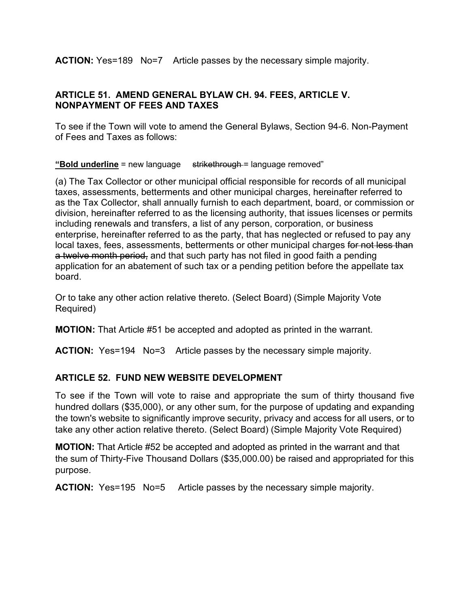**ACTION:** Yes=189 No=7 Article passes by the necessary simple majority.

## **ARTICLE 51. AMEND GENERAL BYLAW CH. 94. FEES, ARTICLE V. NONPAYMENT OF FEES AND TAXES**

To see if the Town will vote to amend the General Bylaws, Section 94-6. Non-Payment of Fees and Taxes as follows:

**"Bold underline** = new language strikethrough = language removed"

(a) The Tax Collector or other municipal official responsible for records of all municipal taxes, assessments, betterments and other municipal charges, hereinafter referred to as the Tax Collector, shall annually furnish to each department, board, or commission or division, hereinafter referred to as the licensing authority, that issues licenses or permits including renewals and transfers, a list of any person, corporation, or business enterprise, hereinafter referred to as the party, that has neglected or refused to pay any local taxes, fees, assessments, betterments or other municipal charges for not less than a twelve month period, and that such party has not filed in good faith a pending application for an abatement of such tax or a pending petition before the appellate tax board.

Or to take any other action relative thereto. (Select Board) (Simple Majority Vote Required)

**MOTION:** That Article #51 be accepted and adopted as printed in the warrant.

**ACTION:** Yes=194 No=3 Article passes by the necessary simple majority.

## **ARTICLE 52. FUND NEW WEBSITE DEVELOPMENT**

To see if the Town will vote to raise and appropriate the sum of thirty thousand five hundred dollars (\$35,000), or any other sum, for the purpose of updating and expanding the town's website to significantly improve security, privacy and access for all users, or to take any other action relative thereto. (Select Board) (Simple Majority Vote Required)

**MOTION:** That Article #52 be accepted and adopted as printed in the warrant and that the sum of Thirty-Five Thousand Dollars (\$35,000.00) be raised and appropriated for this purpose.

**ACTION:** Yes=195 No=5 Article passes by the necessary simple majority.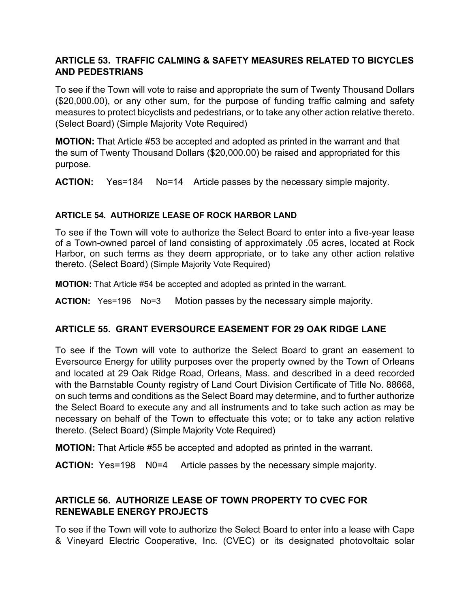## **ARTICLE 53. TRAFFIC CALMING & SAFETY MEASURES RELATED TO BICYCLES AND PEDESTRIANS**

To see if the Town will vote to raise and appropriate the sum of Twenty Thousand Dollars (\$20,000.00), or any other sum, for the purpose of funding traffic calming and safety measures to protect bicyclists and pedestrians, or to take any other action relative thereto. (Select Board) (Simple Majority Vote Required)

**MOTION:** That Article #53 be accepted and adopted as printed in the warrant and that the sum of Twenty Thousand Dollars (\$20,000.00) be raised and appropriated for this purpose.

**ACTION:** Yes=184 No=14 Article passes by the necessary simple majority.

### **ARTICLE 54. AUTHORIZE LEASE OF ROCK HARBOR LAND**

To see if the Town will vote to authorize the Select Board to enter into a five-year lease of a Town-owned parcel of land consisting of approximately .05 acres, located at Rock Harbor, on such terms as they deem appropriate, or to take any other action relative thereto. (Select Board) (Simple Majority Vote Required)

**MOTION:** That Article #54 be accepted and adopted as printed in the warrant.

**ACTION:** Yes=196 No=3 Motion passes by the necessary simple majority.

#### **ARTICLE 55. GRANT EVERSOURCE EASEMENT FOR 29 OAK RIDGE LANE**

To see if the Town will vote to authorize the Select Board to grant an easement to Eversource Energy for utility purposes over the property owned by the Town of Orleans and located at 29 Oak Ridge Road, Orleans, Mass. and described in a deed recorded with the Barnstable County registry of Land Court Division Certificate of Title No. 88668, on such terms and conditions as the Select Board may determine, and to further authorize the Select Board to execute any and all instruments and to take such action as may be necessary on behalf of the Town to effectuate this vote; or to take any action relative thereto. (Select Board) (Simple Majority Vote Required)

**MOTION:** That Article #55 be accepted and adopted as printed in the warrant.

**ACTION:** Yes=198 N0=4 Article passes by the necessary simple majority.

## **ARTICLE 56. AUTHORIZE LEASE OF TOWN PROPERTY TO CVEC FOR RENEWABLE ENERGY PROJECTS**

To see if the Town will vote to authorize the Select Board to enter into a lease with Cape & Vineyard Electric Cooperative, Inc. (CVEC) or its designated photovoltaic solar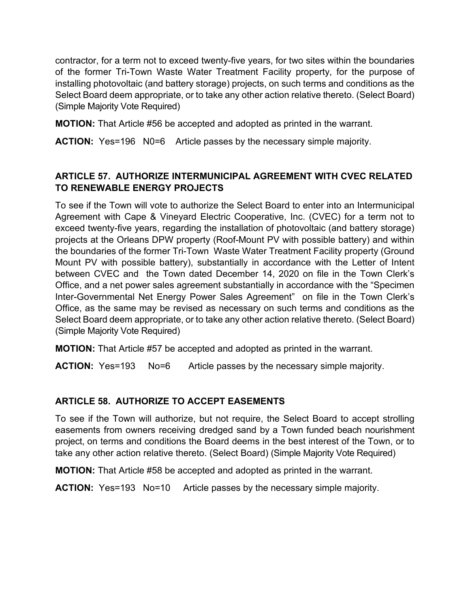contractor, for a term not to exceed twenty-five years, for two sites within the boundaries of the former Tri-Town Waste Water Treatment Facility property, for the purpose of installing photovoltaic (and battery storage) projects, on such terms and conditions as the Select Board deem appropriate, or to take any other action relative thereto. (Select Board) (Simple Majority Vote Required)

**MOTION:** That Article #56 be accepted and adopted as printed in the warrant.

**ACTION:** Yes=196 N0=6 Article passes by the necessary simple majority.

## **ARTICLE 57. AUTHORIZE INTERMUNICIPAL AGREEMENT WITH CVEC RELATED TO RENEWABLE ENERGY PROJECTS**

To see if the Town will vote to authorize the Select Board to enter into an Intermunicipal Agreement with Cape & Vineyard Electric Cooperative, Inc. (CVEC) for a term not to exceed twenty-five years, regarding the installation of photovoltaic (and battery storage) projects at the Orleans DPW property (Roof-Mount PV with possible battery) and within the boundaries of the former Tri-Town Waste Water Treatment Facility property (Ground Mount PV with possible battery), substantially in accordance with the Letter of Intent between CVEC and the Town dated December 14, 2020 on file in the Town Clerk's Office, and a net power sales agreement substantially in accordance with the "Specimen Inter-Governmental Net Energy Power Sales Agreement" on file in the Town Clerk's Office, as the same may be revised as necessary on such terms and conditions as the Select Board deem appropriate, or to take any other action relative thereto. (Select Board) (Simple Majority Vote Required)

**MOTION:** That Article #57 be accepted and adopted as printed in the warrant.

**ACTION:** Yes=193 No=6 Article passes by the necessary simple majority.

## **ARTICLE 58. AUTHORIZE TO ACCEPT EASEMENTS**

To see if the Town will authorize, but not require, the Select Board to accept strolling easements from owners receiving dredged sand by a Town funded beach nourishment project, on terms and conditions the Board deems in the best interest of the Town, or to take any other action relative thereto. (Select Board) (Simple Majority Vote Required)

**MOTION:** That Article #58 be accepted and adopted as printed in the warrant.

**ACTION:** Yes=193 No=10 Article passes by the necessary simple majority.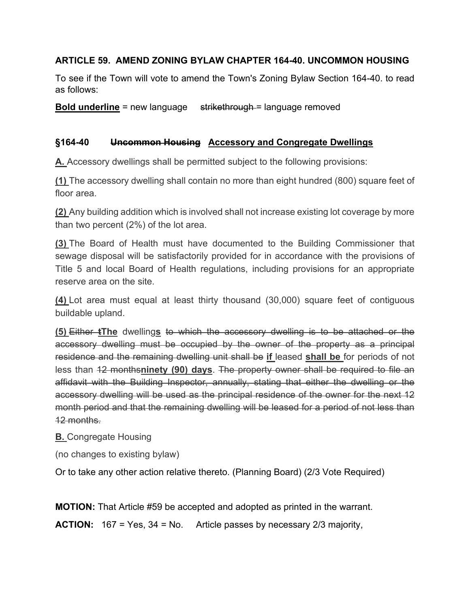## **ARTICLE 59. AMEND ZONING BYLAW CHAPTER 164-40. UNCOMMON HOUSING**

To see if the Town will vote to amend the Town's Zoning Bylaw Section 164-40. to read as follows:

**Bold underline** = new language strikethrough = language removed

## **§164-40 Uncommon Housing Accessory and Congregate Dwellings**

**[A.](https://ecode360.com/14200676#14200676)** Accessory dwellings shall be permitted subject to the following provisions:

**[\(1\)](https://ecode360.com/14200677#14200677)** The accessory dwelling shall contain no more than eight hundred (800) square feet of floor area.

**[\(2\)](https://ecode360.com/14200678#14200678)** Any building addition which is involved shall not increase existing lot coverage by more than two percent (2%) of the lot area.

**[\(3\)](https://ecode360.com/14200679#14200679)** The Board of Health must have documented to the Building Commissioner that sewage disposal will be satisfactorily provided for in accordance with the provisions of Title 5 and local Board of Health regulations, including provisions for an appropriate reserve area on the site.

**[\(4\)](https://ecode360.com/14200680#14200680)** Lot area must equal at least thirty thousand (30,000) square feet of contiguous buildable upland.

**[\(5\)](https://ecode360.com/14200681#14200681)** Either **tThe** dwelling**s** to which the accessory dwelling is to be attached or the accessory dwelling must be occupied by the owner of the property as a principal residence and the remaining dwelling unit shall be **if** leased **shall be** for periods of not less than 12 months**ninety (90) days**. The property owner shall be required to file an affidavit with the Building Inspector, annually, stating that either the dwelling or the accessory dwelling will be used as the principal residence of the owner for the next 12 month period and that the remaining dwelling will be leased for a period of not less than 12 months.

## **[B.](https://ecode360.com/14200676#14200676)** Congregate Housing

(no changes to existing bylaw)

Or to take any other action relative thereto. (Planning Board) (2/3 Vote Required)

**MOTION:** That Article #59 be accepted and adopted as printed in the warrant.

**ACTION:** 167 = Yes, 34 = No. Article passes by necessary 2/3 majority,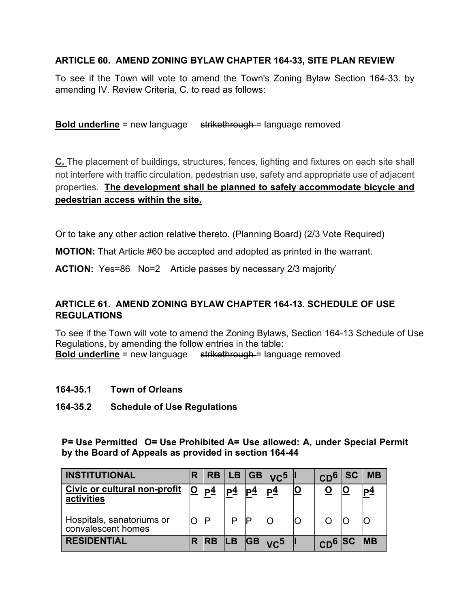## **ARTICLE 60. AMEND ZONING BYLAW CHAPTER 164-33, SITE PLAN REVIEW**

To see if the Town will vote to amend the Town's Zoning Bylaw Section 164-33. by amending IV. Review Criteria, C. to read as follows:

#### **Bold underline** = new language strikethrough = language removed

**[C.](https://ecode360.com/14200460#14200460)** The placement of buildings, structures, fences, lighting and fixtures on each site shall not interfere with traffic circulation, pedestrian use, safety and appropriate use of adjacent properties. **The development shall be planned to safely accommodate bicycle and pedestrian access within the site.**

Or to take any other action relative thereto. (Planning Board) (2/3 Vote Required)

**MOTION:** That Article #60 be accepted and adopted as printed in the warrant.

**ACTION:** Yes=86 No=2 Article passes by necessary 2/3 majority'

### **ARTICLE 61. AMEND ZONING BYLAW CHAPTER 164-13. SCHEDULE OF USE REGULATIONS**

To see if the Town will vote to amend the Zoning Bylaws, Section 164-13 Schedule of Use Regulations, by amending the follow entries in the table: **Bold underline** = new language strikethrough = language removed

#### **164-35.1 Town of Orleans**

**164-35.2 Schedule of Use Regulations**

**P= Use Permitted O= Use Prohibited A= Use allowed: A, under Special Permit by the Board of Appeals as provided in section 164-44**

| <b>INSTITUTIONAL</b>                                        |    |                 |                |                | $ RB LB GB VC^5$ | CD <sup>6</sup> | <b>SC</b> | <b>MB</b>  |
|-------------------------------------------------------------|----|-----------------|----------------|----------------|------------------|-----------------|-----------|------------|
| Civic or cultural non-profit<br>activities                  | IO | lP <sup>4</sup> | P <sup>4</sup> | P <sub>4</sub> | $ P_2 $          |                 |           | <u>p4</u>  |
| Hospitals <del>, sanatoriums</del> or<br>convalescent homes |    |                 |                |                |                  |                 |           |            |
| <b>RESIDENTIAL</b>                                          |    | <b>IRB</b>      |                |                | $ LB GB _{VC}$   | $CD6$ SC        |           | <b>IMB</b> |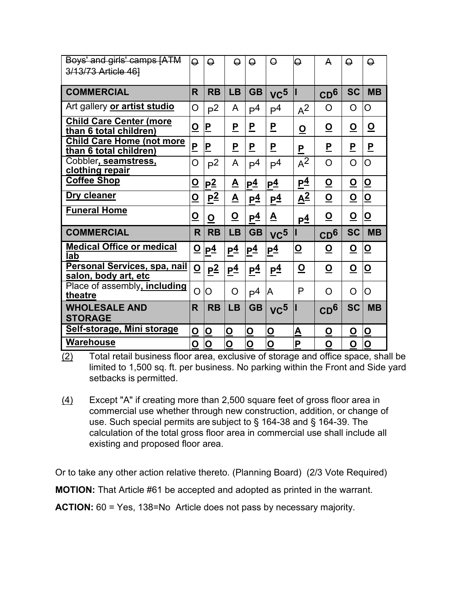| Boys' and girls' camps [ATM<br>3/13/73 Article 46]         | $\Theta$                 | $\Theta$                              | $\Theta$                 | $\Theta$                | $\Theta$                | $\Theta$                 | A                        | $\Theta$                 | $\Theta$                |
|------------------------------------------------------------|--------------------------|---------------------------------------|--------------------------|-------------------------|-------------------------|--------------------------|--------------------------|--------------------------|-------------------------|
| <b>COMMERCIAL</b>                                          | $\overline{\mathsf{R}}$  | <b>RB</b>                             | <b>LB</b>                | <b>GB</b>               | VC <sub>2</sub>         | Ш                        | CD <sup>6</sup>          | <b>SC</b>                | <b>MB</b>               |
| Art gallery or artist studio                               | O                        | P <sup>2</sup>                        | A                        | P <sup>4</sup>          | P <sup>4</sup>          | $A^2$                    | O                        | O                        | O                       |
| <b>Child Care Center (more</b><br>than 6 total children)   | $\overline{\mathbf{O}}$  | $\mathsf{P}% _{T}$                    | <u>P</u>                 | P                       | <u>P</u>                | $\overline{\mathbf{O}}$  | <u>o</u>                 | <u>୦</u>                 | $\overline{\mathbf{o}}$ |
| <b>Child Care Home (not more</b><br>than 6 total children) | $\overline{P}$           | $\mathsf P$                           | $\overline{P}$           | P                       | <u>P</u>                | $\overline{P}$           | P                        | <u>P</u>                 | $\overline{\mathsf{P}}$ |
| Cobbler, seamstress,<br>clothing repair                    | O                        | P <sup>2</sup>                        | A                        | P <sup>4</sup>          | P <sup>4</sup>          | $A^2$                    | $\overline{O}$           | O                        | O                       |
| <b>Coffee Shop</b>                                         | $\overline{\mathbf{Q}}$  | p <sup>2</sup>                        | $\overline{\mathbf{A}}$  | P <sup>4</sup>          | $P_1^4$                 | P <sup>4</sup>           | $\underline{\mathsf{O}}$ | <u>୦</u>                 | $\overline{\mathbf{O}}$ |
| Dry cleaner                                                | $\overline{\mathbf{O}}$  | $\underline{P}^{\underline{\bar{2}}}$ | $\underline{\mathbf{A}}$ | $P^4$                   | P <sup>4</sup>          | $\underline{A^2}$        | $\underline{\mathsf{O}}$ | $\underline{\mathsf{O}}$ | $\overline{\mathbf{O}}$ |
| <b>Funeral Home</b>                                        | $\overline{\mathbf{O}}$  | $\overline{\mathbf{O}}$               | <u>୦</u>                 | P <sup>4</sup>          | <u>A</u>                | <u>p4</u>                | <u>୦</u>                 | $\underline{\mathsf{O}}$ | $\overline{\mathbf{o}}$ |
| <b>COMMERCIAL</b>                                          | R                        | <b>RB</b>                             | <b>LB</b>                | <b>GB</b>               | VC <sub>2</sub>         |                          | CD <sup>6</sup>          | <b>SC</b>                | <b>MB</b>               |
| <b>Medical Office or medical</b><br>lab                    | <u>୦</u>                 | P <sub>4</sub>                        | $P_1^4$                  | P <sup>4</sup>          | P <sup>4</sup>          | <u>୦</u>                 | <u>୦</u>                 | <u>୦</u>                 | <u>ଠ</u>                |
| Personal Services, spa, nail<br>salon, body art, etc       | $\underline{\mathsf{O}}$ | p <sup>2</sup>                        | P <sup>4</sup>           | P <sup>4</sup>          | $P^4$                   | $\underline{\mathsf{O}}$ | $\overline{\mathbf{o}}$  | $\overline{\mathbf{o}}$  | <u>ଠ</u>                |
| Place of assembly, including<br>theatre                    | $\overline{O}$           | O                                     | O                        | P <sup>4</sup>          | ΙA                      | P                        | O                        | O                        | O                       |
| <b>WHOLESALE AND</b><br><b>STORAGE</b>                     | R                        | <b>RB</b>                             | <b>LB</b>                | <b>GB</b>               | VC <sub>2</sub>         |                          | CD <sup>6</sup>          | <b>SC</b>                | <b>MB</b>               |
|                                                            |                          |                                       |                          |                         |                         |                          |                          |                          |                         |
| Self-storage, Mini storage                                 | $\overline{\mathbf{O}}$  | $\overline{\mathbf{O}}$               | $\underline{\mathsf{O}}$ | $\overline{\mathbf{O}}$ | $\overline{\mathbf{O}}$ | <u>A</u>                 | <u>ଠ</u>                 | O                        | <u>୦</u>                |

(2) Total retail business floor area, exclusive of storage and office space, shall be limited to 1,500 sq. ft. per business. No parking within the Front and Side yard setbacks is permitted.

(4) Except "A" if creating more than 2,500 square feet of gross floor area in commercial use whether through new construction, addition, or change of use. Such special permits are subject to § 164-38 and § 164-39. The calculation of the total gross floor area in commercial use shall include all existing and proposed floor area.

Or to take any other action relative thereto. (Planning Board) (2/3 Vote Required) **MOTION:** That Article #61 be accepted and adopted as printed in the warrant. **ACTION:** 60 = Yes, 138=No Article does not pass by necessary majority.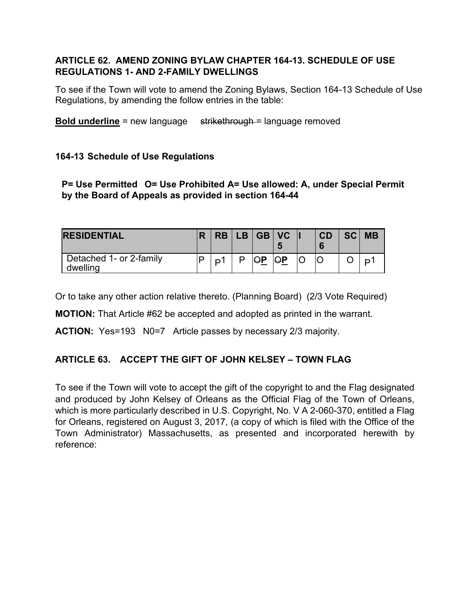## **ARTICLE 62. AMEND ZONING BYLAW CHAPTER 164-13. SCHEDULE OF USE REGULATIONS 1- AND 2-FAMILY DWELLINGS**

To see if the Town will vote to amend the Zoning Bylaws, Section 164-13 Schedule of Use Regulations, by amending the follow entries in the table:

**Bold underline** = new language strikethrough = language removed

## **164-13 Schedule of Use Regulations**

**P= Use Permitted O= Use Prohibited A= Use allowed: A, under Special Permit by the Board of Appeals as provided in section 164-44**

| <b>RESIDENTIAL</b>                  | <b>RB</b> | LB GB VC |  | CD | <b>SCI</b> | <b>MB</b> |
|-------------------------------------|-----------|----------|--|----|------------|-----------|
| Detached 1- or 2-family<br>dwelling |           | ∩D       |  |    |            |           |

Or to take any other action relative thereto. (Planning Board) (2/3 Vote Required)

**MOTION:** That Article #62 be accepted and adopted as printed in the warrant.

**ACTION:** Yes=193 N0=7 Article passes by necessary 2/3 majority.

## **ARTICLE 63. ACCEPT THE GIFT OF JOHN KELSEY – TOWN FLAG**

To see if the Town will vote to accept the gift of the copyright to and the Flag designated and produced by John Kelsey of Orleans as the Official Flag of the Town of Orleans, which is more particularly described in U.S. Copyright, No. V A 2-060-370, entitled a Flag for Orleans, registered on August 3, 2017, (a copy of which is filed with the Office of the Town Administrator) Massachusetts, as presented and incorporated herewith by reference: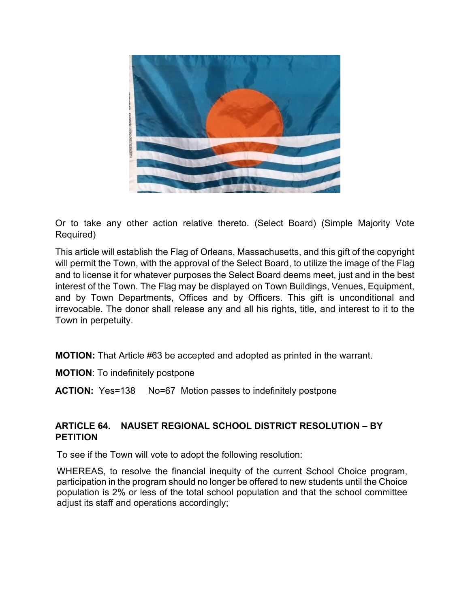

Or to take any other action relative thereto. (Select Board) (Simple Majority Vote Required)

This article will establish the Flag of Orleans, Massachusetts, and this gift of the copyright will permit the Town, with the approval of the Select Board, to utilize the image of the Flag and to license it for whatever purposes the Select Board deems meet, just and in the best interest of the Town. The Flag may be displayed on Town Buildings, Venues, Equipment, and by Town Departments, Offices and by Officers. This gift is unconditional and irrevocable. The donor shall release any and all his rights, title, and interest to it to the Town in perpetuity.

**MOTION:** That Article #63 be accepted and adopted as printed in the warrant.

**MOTION**: To indefinitely postpone

**ACTION:** Yes=138 No=67 Motion passes to indefinitely postpone

## **ARTICLE 64. NAUSET REGIONAL SCHOOL DISTRICT RESOLUTION – BY PETITION**

To see if the Town will vote to adopt the following resolution:

WHEREAS, to resolve the financial inequity of the current School Choice program, participation in the program should no longer be offered to new students until the Choice population is 2% or less of the total school population and that the school committee adjust its staff and operations accordingly;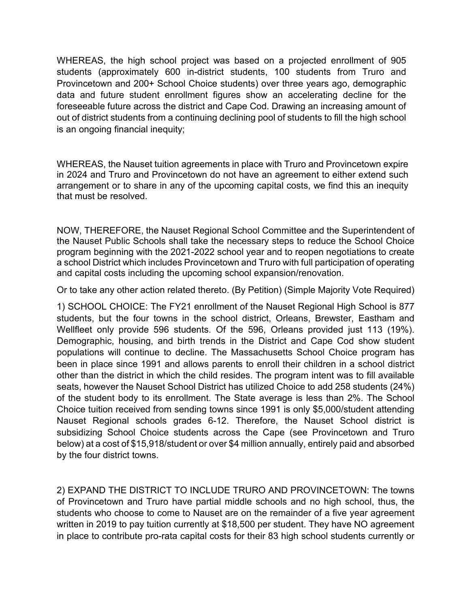WHEREAS, the high school project was based on a projected enrollment of 905 students (approximately 600 in-district students, 100 students from Truro and Provincetown and 200+ School Choice students) over three years ago, demographic data and future student enrollment figures show an accelerating decline for the foreseeable future across the district and Cape Cod. Drawing an increasing amount of out of district students from a continuing declining pool of students to fill the high school is an ongoing financial inequity;

WHEREAS, the Nauset tuition agreements in place with Truro and Provincetown expire in 2024 and Truro and Provincetown do not have an agreement to either extend such arrangement or to share in any of the upcoming capital costs, we find this an inequity that must be resolved.

NOW, THEREFORE, the Nauset Regional School Committee and the Superintendent of the Nauset Public Schools shall take the necessary steps to reduce the School Choice program beginning with the 2021-2022 school year and to reopen negotiations to create a school District which includes Provincetown and Truro with full participation of operating and capital costs including the upcoming school expansion/renovation.

Or to take any other action related thereto. (By Petition) (Simple Majority Vote Required)

1) SCHOOL CHOICE: The FY21 enrollment of the Nauset Regional High School is 877 students, but the four towns in the school district, Orleans, Brewster, Eastham and Wellfleet only provide 596 students. Of the 596, Orleans provided just 113 (19%). Demographic, housing, and birth trends in the District and Cape Cod show student populations will continue to decline. The Massachusetts School Choice program has been in place since 1991 and allows parents to enroll their children in a school district other than the district in which the child resides. The program intent was to fill available seats, however the Nauset School District has utilized Choice to add 258 students (24%) of the student body to its enrollment. The State average is less than 2%. The School Choice tuition received from sending towns since 1991 is only \$5,000/student attending Nauset Regional schools grades 6-12. Therefore, the Nauset School district is subsidizing School Choice students across the Cape (see Provincetown and Truro below) at a cost of \$15,918/student or over \$4 million annually, entirely paid and absorbed by the four district towns.

2) EXPAND THE DISTRICT TO INCLUDE TRURO AND PROVINCETOWN: The towns of Provincetown and Truro have partial middle schools and no high school, thus, the students who choose to come to Nauset are on the remainder of a five year agreement written in 2019 to pay tuition currently at \$18,500 per student. They have NO agreement in place to contribute pro-rata capital costs for their 83 high school students currently or